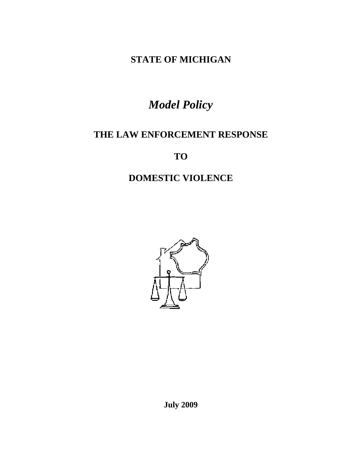**STATE OF MICHIGAN** 

# *Model Policy*

# **THE LAW ENFORCEMENT RESPONSE**

**TO** 

# **DOMESTIC VIOLENCE**



**July 2009**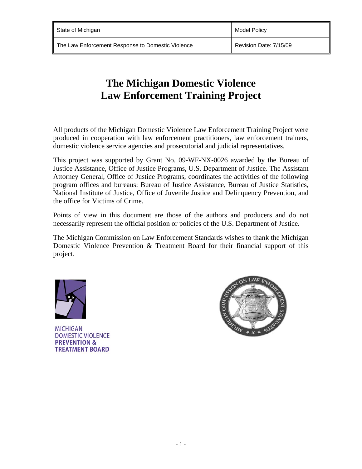# **The Michigan Domestic Violence Law Enforcement Training Project**

All products of the Michigan Domestic Violence Law Enforcement Training Project were produced in cooperation with law enforcement practitioners, law enforcement trainers, domestic violence service agencies and prosecutorial and judicial representatives.

This project was supported by Grant No. 09-WF-NX-0026 awarded by the Bureau of Justice Assistance, Office of Justice Programs, U.S. Department of Justice. The Assistant Attorney General, Office of Justice Programs, coordinates the activities of the following program offices and bureaus: Bureau of Justice Assistance, Bureau of Justice Statistics, National Institute of Justice, Office of Juvenile Justice and Delinquency Prevention, and the office for Victims of Crime.

Points of view in this document are those of the authors and producers and do not necessarily represent the official position or policies of the U.S. Department of Justice.

The Michigan Commission on Law Enforcement Standards wishes to thank the Michigan Domestic Violence Prevention & Treatment Board for their financial support of this project.



**MICHIGAN DOMESTIC VIOLENCE PREVENTION & TREATMENT BOARD** 

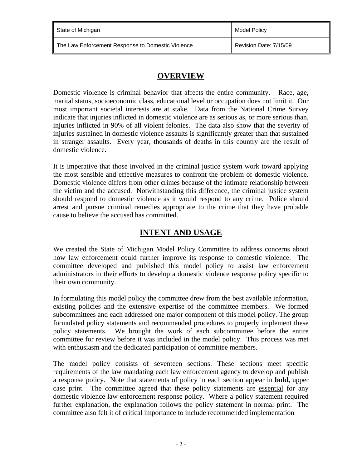| State of Michigan                                 | <b>Model Policy</b>    |
|---------------------------------------------------|------------------------|
| The Law Enforcement Response to Domestic Violence | Revision Date: 7/15/09 |

### **OVERVIEW**

Domestic violence is criminal behavior that affects the entire community. Race, age, marital status, socioeconomic class, educational level or occupation does not limit it. Our most important societal interests are at stake. Data from the National Crime Survey indicate that injuries inflicted in domestic violence are as serious as, or more serious than, injuries inflicted in 90% of all violent felonies. The data also show that the severity of injuries sustained in domestic violence assaults is significantly greater than that sustained in stranger assaults. Every year, thousands of deaths in this country are the result of domestic violence.

It is imperative that those involved in the criminal justice system work toward applying the most sensible and effective measures to confront the problem of domestic violence. Domestic violence differs from other crimes because of the intimate relationship between the victim and the accused. Notwithstanding this difference, the criminal justice system should respond to domestic violence as it would respond to any crime. Police should arrest and pursue criminal remedies appropriate to the crime that they have probable cause to believe the accused has committed.

# **INTENT AND USAGE**

We created the State of Michigan Model Policy Committee to address concerns about how law enforcement could further improve its response to domestic violence. The committee developed and published this model policy to assist law enforcement administrators in their efforts to develop a domestic violence response policy specific to their own community.

In formulating this model policy the committee drew from the best available information, existing policies and the extensive expertise of the committee members. We formed subcommittees and each addressed one major component of this model policy. The group formulated policy statements and recommended procedures to properly implement these policy statements. We brought the work of each subcommittee before the entire committee for review before it was included in the model policy. This process was met with enthusiasm and the dedicated participation of committee members.

The model policy consists of seventeen sections. These sections meet specific requirements of the law mandating each law enforcement agency to develop and publish a response policy. Note that statements of policy in each section appear in **bold,** upper case print. The committee agreed that these policy statements are essential for any domestic violence law enforcement response policy. Where a policy statement required further explanation, the explanation follows the policy statement in normal print. The committee also felt it of critical importance to include recommended implementation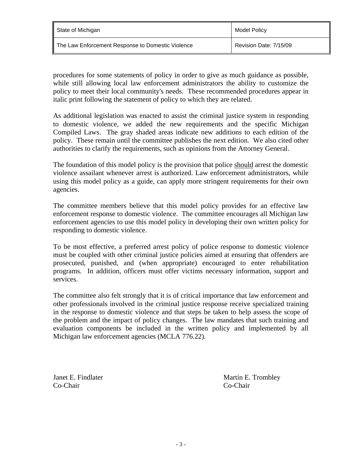| ll State of Michigan                                | Model Policy           |
|-----------------------------------------------------|------------------------|
| ∥ The Law Enforcement Response to Domestic Violence | Revision Date: 7/15/09 |

procedures for some statements of policy in order to give as much guidance as possible, while still allowing local law enforcement administrators the ability to customize the policy to meet their local community's needs. These recommended procedures appear in italic print following the statement of policy to which they are related.

As additional legislation was enacted to assist the criminal justice system in responding to domestic violence, we added the new requirements and the specific Michigan Compiled Laws. The gray shaded areas indicate new additions to each edition of the policy. These remain until the committee publishes the next edition. We also cited other authorities to clarify the requirements, such as opinions from the Attorney General.

The foundation of this model policy is the provision that police should arrest the domestic violence assailant whenever arrest is authorized. Law enforcement administrators, while using this model policy as a guide, can apply more stringent requirements for their own agencies.

The committee members believe that this model policy provides for an effective law enforcement response to domestic violence. The committee encourages all Michigan law enforcement agencies to use this model policy in developing their own written policy for responding to domestic violence.

To be most effective, a preferred arrest policy of police response to domestic violence must be coupled with other criminal justice policies aimed at ensuring that offenders are prosecuted, punished, and (when appropriate) encouraged to enter rehabilitation programs. In addition, officers must offer victims necessary information, support and services.

The committee also felt strongly that it is of critical importance that law enforcement and other professionals involved in the criminal justice response receive specialized training in the response to domestic violence and that steps be taken to help assess the scope of the problem and the impact of policy changes. The law mandates that such training and evaluation components be included in the written policy and implemented by all Michigan law enforcement agencies (MCLA 776.22).

Co-Chair Co-Chair

Janet E. Findlater Martin E. Trombley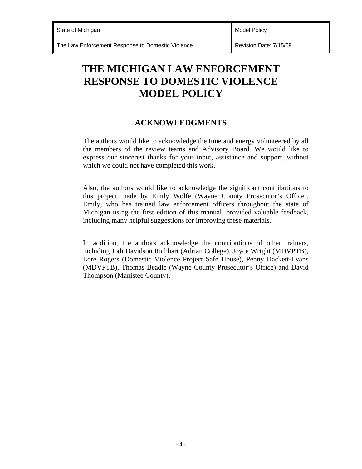# **THE MICHIGAN LAW ENFORCEMENT RESPONSE TO DOMESTIC VIOLENCE MODEL POLICY**

### **ACKNOWLEDGMENTS**

The authors would like to acknowledge the time and energy volunteered by all the members of the review teams and Advisory Board. We would like to express our sincerest thanks for your input, assistance and support, without which we could not have completed this work.

Also, the authors would like to acknowledge the significant contributions to this project made by Emily Wolfe (Wayne County Prosecutor's Office). Emily, who has trained law enforcement officers throughout the state of Michigan using the first edition of this manual, provided valuable feedback, including many helpful suggestions for improving these materials.

In addition, the authors acknowledge the contributions of other trainers, including Jodi Davidson Richhart (Adrian College), Joyce Wright (MDVPTB), Lore Rogers (Domestic Violence Project Safe House), Penny Hackett-Evans (MDVPTB), Thomas Beadle (Wayne County Prosecutor's Office) and David Thompson (Manistee County).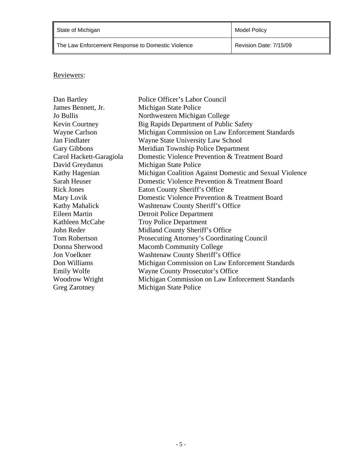| State of Michigan                                 | Model Policy           |
|---------------------------------------------------|------------------------|
| The Law Enforcement Response to Domestic Violence | Revision Date: 7/15/09 |

### Reviewers:

| Dan Bartley             | Police Officer's Labor Council                          |
|-------------------------|---------------------------------------------------------|
| James Bennett, Jr.      | Michigan State Police                                   |
| Jo Bullis               | Northwestern Michigan College                           |
| <b>Kevin Courtney</b>   | Big Rapids Department of Public Safety                  |
| <b>Wayne Carlson</b>    | Michigan Commission on Law Enforcement Standards        |
| Jan Findlater           | Wayne State University Law School                       |
| <b>Gary Gibbons</b>     | Meridian Township Police Department                     |
| Carol Hackett-Garagiola | Domestic Violence Prevention & Treatment Board          |
| David Greydanus         | Michigan State Police                                   |
| Kathy Hagenian          | Michigan Coalition Against Domestic and Sexual Violence |
| Sarah Heuser            | Domestic Violence Prevention & Treatment Board          |
| <b>Rick Jones</b>       | Eaton County Sheriff's Office                           |
| Mary Lovik              | Domestic Violence Prevention & Treatment Board          |
| Kathy Mahalick          | Washtenaw County Sheriff's Office                       |
| Eileen Martin           | <b>Detroit Police Department</b>                        |
| Kathleen McCabe         | <b>Troy Police Department</b>                           |
| John Reder              | Midland County Sheriff's Office                         |
| <b>Tom Robertson</b>    | <b>Prosecuting Attorney's Coordinating Council</b>      |
| Donna Sherwood          | <b>Macomb Community College</b>                         |
| Jon Voelkner            | <b>Washtenaw County Sheriff's Office</b>                |
| Don Williams            | Michigan Commission on Law Enforcement Standards        |
| Emily Wolfe             | Wayne County Prosecutor's Office                        |
| Woodrow Wright          | Michigan Commission on Law Enforcement Standards        |
| <b>Greg Zarotney</b>    | Michigan State Police                                   |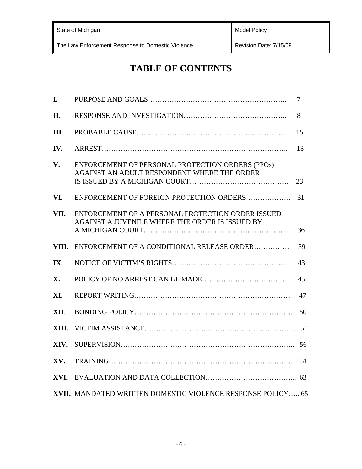| State of Michigan                                 | <b>Model Policy</b>    |
|---------------------------------------------------|------------------------|
| The Law Enforcement Response to Domestic Violence | Revision Date: 7/15/09 |

# **TABLE OF CONTENTS**

| I.         |                                                                                                      | 7  |
|------------|------------------------------------------------------------------------------------------------------|----|
| II.        |                                                                                                      | 8  |
| Ш.         |                                                                                                      | 15 |
| IV.        |                                                                                                      | 18 |
| V.         | ENFORCEMENT OF PERSONAL PROTECTION ORDERS (PPOs)<br>AGAINST AN ADULT RESPONDENT WHERE THE ORDER      | 23 |
| VI.        | ENFORCEMENT OF FOREIGN PROTECTION ORDERS                                                             | 31 |
| VII.       | ENFORCEMENT OF A PERSONAL PROTECTION ORDER ISSUED<br>AGAINST A JUVENILE WHERE THE ORDER IS ISSUED BY | 36 |
| VIII.      | ENFORCEMENT OF A CONDITIONAL RELEASE ORDER                                                           | 39 |
| IX.        |                                                                                                      | 43 |
| <b>X</b> . |                                                                                                      | 45 |
| XI.        |                                                                                                      | 47 |
| XII.       |                                                                                                      | 50 |
| XIII.      |                                                                                                      |    |
| XIV.       |                                                                                                      | 56 |
| XV.        |                                                                                                      |    |
|            |                                                                                                      |    |
|            | XVII. MANDATED WRITTEN DOMESTIC VIOLENCE RESPONSE POLICY 65                                          |    |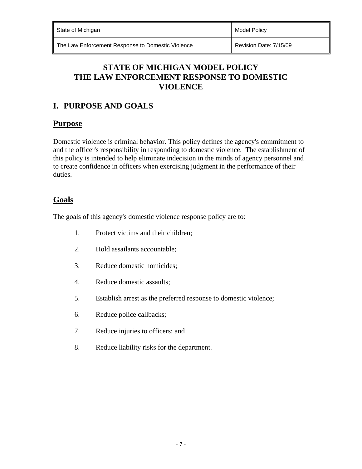State of Michigan Model Policy and Model Policy and Model Policy and Model Policy

The Law Enforcement Response to Domestic Violence **Revision Date: 7/15/09** 

# **STATE OF MICHIGAN MODEL POLICY THE LAW ENFORCEMENT RESPONSE TO DOMESTIC VIOLENCE**

# **I. PURPOSE AND GOALS**

### **Purpose**

Domestic violence is criminal behavior. This policy defines the agency's commitment to and the officer's responsibility in responding to domestic violence. The establishment of this policy is intended to help eliminate indecision in the minds of agency personnel and to create confidence in officers when exercising judgment in the performance of their duties.

### **Goals**

The goals of this agency's domestic violence response policy are to:

- 1. Protect victims and their children;
- 2. Hold assailants accountable;
- 3. Reduce domestic homicides;
- 4. Reduce domestic assaults;
- 5. Establish arrest as the preferred response to domestic violence;
- 6. Reduce police callbacks;
- 7. Reduce injuries to officers; and
- 8. Reduce liability risks for the department.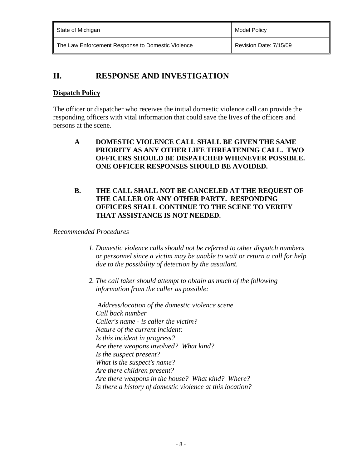| State of Michigan                                 | Model Policy           |
|---------------------------------------------------|------------------------|
| The Law Enforcement Response to Domestic Violence | Revision Date: 7/15/09 |

# **II. RESPONSE AND INVESTIGATION**

### **Dispatch Policy**

The officer or dispatcher who receives the initial domestic violence call can provide the responding officers with vital information that could save the lives of the officers and persons at the scene.

**A DOMESTIC VIOLENCE CALL SHALL BE GIVEN THE SAME PRIORITY AS ANY OTHER LIFE THREATENING CALL. TWO OFFICERS SHOULD BE DISPATCHED WHENEVER POSSIBLE. ONE OFFICER RESPONSES SHOULD BE AVOIDED.** 

### **B. THE CALL SHALL NOT BE CANCELED AT THE REQUEST OF THE CALLER OR ANY OTHER PARTY. RESPONDING OFFICERS SHALL CONTINUE TO THE SCENE TO VERIFY THAT ASSISTANCE IS NOT NEEDED.**

### *Recommended Procedures*

- *1. Domestic violence calls should not be referred to other dispatch numbers or personnel since a victim may be unable to wait or return a call for help due to the possibility of detection by the assailant.*
- *2. The call taker should attempt to obtain as much of the following information from the caller as possible:*

 *Address/location of the domestic violence scene Call back number Caller's name - is caller the victim? Nature of the current incident: Is this incident in progress? Are there weapons involved? What kind? Is the suspect present? What is the suspect's name? Are there children present? Are there weapons in the house? What kind? Where? Is there a history of domestic violence at this location?*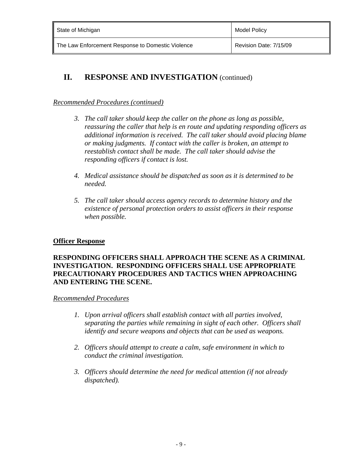| State of Michigan                                 | <b>Model Policy</b>    |
|---------------------------------------------------|------------------------|
| The Law Enforcement Response to Domestic Violence | Revision Date: 7/15/09 |

### *Recommended Procedures (continued)*

- *3. The call taker should keep the caller on the phone as long as possible, reassuring the caller that help is en route and updating responding officers as additional information is received. The call taker should avoid placing blame or making judgments. If contact with the caller is broken, an attempt to reestablish contact shall be made. The call taker should advise the responding officers if contact is lost.*
- *4. Medical assistance should be dispatched as soon as it is determined to be needed.*
- *5. The call taker should access agency records to determine history and the existence of personal protection orders to assist officers in their response when possible.*

### **Officer Response**

### **RESPONDING OFFICERS SHALL APPROACH THE SCENE AS A CRIMINAL INVESTIGATION. RESPONDING OFFICERS SHALL USE APPROPRIATE PRECAUTIONARY PROCEDURES AND TACTICS WHEN APPROACHING AND ENTERING THE SCENE.**

#### *Recommended Procedures*

- *1. Upon arrival officers shall establish contact with all parties involved, separating the parties while remaining in sight of each other. Officers shall identify and secure weapons and objects that can be used as weapons.*
- *2. Officers should attempt to create a calm, safe environment in which to conduct the criminal investigation.*
- *3. Officers should determine the need for medical attention (if not already dispatched).*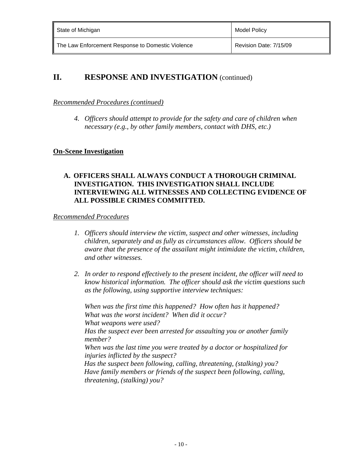| State of Michigan                                 | <b>Model Policy</b>    |
|---------------------------------------------------|------------------------|
| The Law Enforcement Response to Domestic Violence | Revision Date: 7/15/09 |

#### *Recommended Procedures (continued)*

*4. Officers should attempt to provide for the safety and care of children when necessary (e.g., by other family members, contact with DHS, etc.)*

### **On-Scene Investigation**

#### **A. OFFICERS SHALL ALWAYS CONDUCT A THOROUGH CRIMINAL INVESTIGATION. THIS INVESTIGATION SHALL INCLUDE INTERVIEWING ALL WITNESSES AND COLLECTING EVIDENCE OF ALL POSSIBLE CRIMES COMMITTED.**

*Recommended Procedures* 

- *1. Officers should interview the victim, suspect and other witnesses, including children, separately and as fully as circumstances allow. Officers should be aware that the presence of the assailant might intimidate the victim, children, and other witnesses.*
- *2. In order to respond effectively to the present incident, the officer will need to know historical information. The officer should ask the victim questions such as the following, using supportive interview techniques:*

 *When was the first time this happened? How often has it happened? What was the worst incident? When did it occur? What weapons were used? Has the suspect ever been arrested for assaulting you or another family member? When was the last time you were treated by a doctor or hospitalized for injuries inflicted by the suspect? Has the suspect been following, calling, threatening, (stalking) you? Have family members or friends of the suspect been following, calling, threatening, (stalking) you?*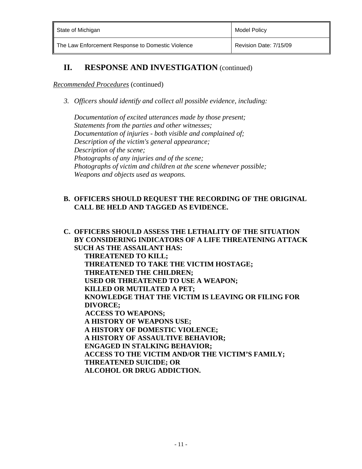| State of Michigan                                 | Model Policy           |
|---------------------------------------------------|------------------------|
| The Law Enforcement Response to Domestic Violence | Revision Date: 7/15/09 |

#### *Recommended Procedures* (continued)

*3. Officers should identify and collect all possible evidence, including:* 

 *Documentation of excited utterances made by those present; Statements from the parties and other witnesses; Documentation of injuries - both visible and complained of; Description of the victim's general appearance; Description of the scene; Photographs of any injuries and of the scene; Photographs of victim and children at the scene whenever possible; Weapons and objects used as weapons.* 

### **B. OFFICERS SHOULD REQUEST THE RECORDING OF THE ORIGINAL CALL BE HELD AND TAGGED AS EVIDENCE.**

**C. OFFICERS SHOULD ASSESS THE LETHALITY OF THE SITUATION BY CONSIDERING INDICATORS OF A LIFE THREATENING ATTACK SUCH AS THE ASSAILANT HAS: THREATENED TO KILL; THREATENED TO TAKE THE VICTIM HOSTAGE; THREATENED THE CHILDREN; USED OR THREATENED TO USE A WEAPON; KILLED OR MUTILATED A PET; KNOWLEDGE THAT THE VICTIM IS LEAVING OR FILING FOR DIVORCE; ACCESS TO WEAPONS; A HISTORY OF WEAPONS USE; A HISTORY OF DOMESTIC VIOLENCE; A HISTORY OF ASSAULTIVE BEHAVIOR; ENGAGED IN STALKING BEHAVIOR; ACCESS TO THE VICTIM AND/OR THE VICTIM'S FAMILY; THREATENED SUICIDE; OR ALCOHOL OR DRUG ADDICTION.**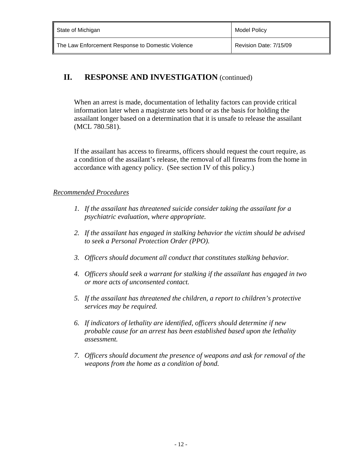| State of Michigan                                 | Model Policy           |
|---------------------------------------------------|------------------------|
| The Law Enforcement Response to Domestic Violence | Revision Date: 7/15/09 |

When an arrest is made, documentation of lethality factors can provide critical information later when a magistrate sets bond or as the basis for holding the assailant longer based on a determination that it is unsafe to release the assailant (MCL 780.581).

If the assailant has access to firearms, officers should request the court require, as a condition of the assailant's release, the removal of all firearms from the home in accordance with agency policy. (See section IV of this policy.)

### *Recommended Procedures*

- *1. If the assailant has threatened suicide consider taking the assailant for a psychiatric evaluation, where appropriate.*
- *2. If the assailant has engaged in stalking behavior the victim should be advised to seek a Personal Protection Order (PPO).*
- *3. Officers should document all conduct that constitutes stalking behavior.*
- *4. Officers should seek a warrant for stalking if the assailant has engaged in two or more acts of unconsented contact.*
- *5. If the assailant has threatened the children, a report to children's protective services may be required.*
- *6. If indicators of lethality are identified, officers should determine if new probable cause for an arrest has been established based upon the lethality assessment.*
- *7. Officers should document the presence of weapons and ask for removal of the weapons from the home as a condition of bond.*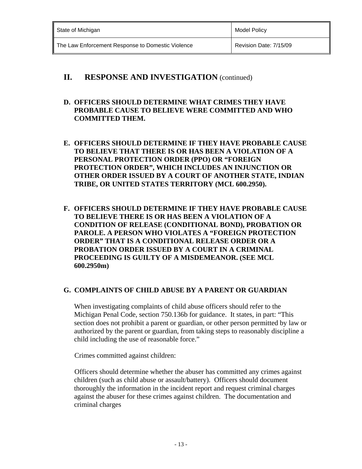| State of Michigan                                 | <b>Model Policy</b>    |
|---------------------------------------------------|------------------------|
| The Law Enforcement Response to Domestic Violence | Revision Date: 7/15/09 |

### **D. OFFICERS SHOULD DETERMINE WHAT CRIMES THEY HAVE PROBABLE CAUSE TO BELIEVE WERE COMMITTED AND WHO COMMITTED THEM.**

- **E. OFFICERS SHOULD DETERMINE IF THEY HAVE PROBABLE CAUSE TO BELIEVE THAT THERE IS OR HAS BEEN A VIOLATION OF A PERSONAL PROTECTION ORDER (PPO) OR "FOREIGN PROTECTION ORDER", WHICH INCLUDES AN INJUNCTION OR OTHER ORDER ISSUED BY A COURT OF ANOTHER STATE, INDIAN TRIBE, OR UNITED STATES TERRITORY (MCL 600.2950).**
- **F. OFFICERS SHOULD DETERMINE IF THEY HAVE PROBABLE CAUSE TO BELIEVE THERE IS OR HAS BEEN A VIOLATION OF A CONDITION OF RELEASE (CONDITIONAL BOND), PROBATION OR PAROLE. A PERSON WHO VIOLATES A "FOREIGN PROTECTION ORDER" THAT IS A CONDITIONAL RELEASE ORDER OR A PROBATION ORDER ISSUED BY A COURT IN A CRIMINAL PROCEEDING IS GUILTY OF A MISDEMEANOR. (SEE MCL 600.2950m)**

### **G. COMPLAINTS OF CHILD ABUSE BY A PARENT OR GUARDIAN**

When investigating complaints of child abuse officers should refer to the Michigan Penal Code, section 750.136b for guidance. It states, in part: "This section does not prohibit a parent or guardian, or other person permitted by law or authorized by the parent or guardian, from taking steps to reasonably discipline a child including the use of reasonable force."

Crimes committed against children:

 Officers should determine whether the abuser has committed any crimes against children (such as child abuse or assault/battery). Officers should document thoroughly the information in the incident report and request criminal charges against the abuser for these crimes against children. The documentation and criminal charges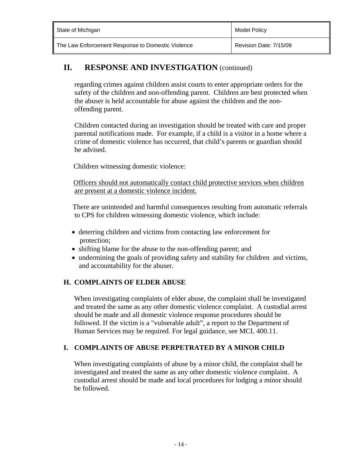| State of Michigan                                 | <b>Model Policy</b>    |
|---------------------------------------------------|------------------------|
| The Law Enforcement Response to Domestic Violence | Revision Date: 7/15/09 |

 regarding crimes against children assist courts to enter appropriate orders for the safety of the children and non-offending parent. Children are best protected when the abuser is held accountable for abuse against the children and the nonoffending parent.

Children contacted during an investigation should be treated with care and proper parental notifications made. For example, if a child is a visitor in a home where a crime of domestic violence has occurred, that child's parents or guardian should be advised.

Children witnessing domestic violence:

 Officers should not automatically contact child protective services when children are present at a domestic violence incident.

 There are unintended and harmful consequences resulting from automatic referrals to CPS for children witnessing domestic violence, which include:

- deterring children and victims from contacting law enforcement for protection;
- shifting blame for the abuse to the non-offending parent; and
- undermining the goals of providing safety and stability for children and victims, and accountability for the abuser.

### **H. COMPLAINTS OF ELDER ABUSE**

When investigating complaints of elder abuse, the complaint shall be investigated and treated the same as any other domestic violence complaint. A custodial arrest should be made and all domestic violence response procedures should be followed. If the victim is a "vulnerable adult", a report to the Department of Human Services may be required. For legal guidance, see MCL 400.11.

### **I. COMPLAINTS OF ABUSE PERPETRATED BY A MINOR CHILD**

When investigating complaints of abuse by a minor child, the complaint shall be investigated and treated the same as any other domestic violence complaint. A custodial arrest should be made and local procedures for lodging a minor should be followed.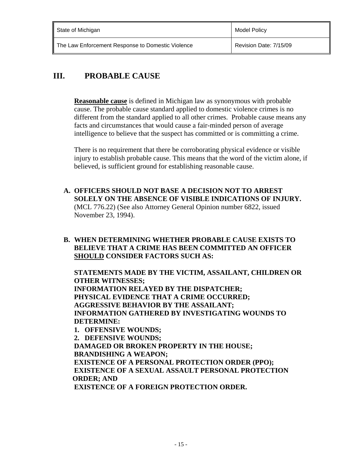| State of Michigan                                 | Model Policy           |
|---------------------------------------------------|------------------------|
| The Law Enforcement Response to Domestic Violence | Revision Date: 7/15/09 |

# **III. PROBABLE CAUSE**

**Reasonable cause** is defined in Michigan law as synonymous with probable cause. The probable cause standard applied to domestic violence crimes is no different from the standard applied to all other crimes. Probable cause means any facts and circumstances that would cause a fair-minded person of average intelligence to believe that the suspect has committed or is committing a crime.

There is no requirement that there be corroborating physical evidence or visible injury to establish probable cause. This means that the word of the victim alone, if believed, is sufficient ground for establishing reasonable cause.

**A. OFFICERS SHOULD NOT BASE A DECISION NOT TO ARREST SOLELY ON THE ABSENCE OF VISIBLE INDICATIONS OF INJURY.** (MCL 776.22) (See also Attorney General Opinion number 6822, issued November 23, 1994).

### **B. WHEN DETERMINING WHETHER PROBABLE CAUSE EXISTS TO BELIEVE THAT A CRIME HAS BEEN COMMITTED AN OFFICER SHOULD CONSIDER FACTORS SUCH AS:**

 **STATEMENTS MADE BY THE VICTIM, ASSAILANT, CHILDREN OR OTHER WITNESSES; INFORMATION RELAYED BY THE DISPATCHER; PHYSICAL EVIDENCE THAT A CRIME OCCURRED; AGGRESSIVE BEHAVIOR BY THE ASSAILANT; INFORMATION GATHERED BY INVESTIGATING WOUNDS TO DETERMINE:** 

**1. OFFENSIVE WOUNDS; 2. DEFENSIVE WOUNDS; DAMAGED OR BROKEN PROPERTY IN THE HOUSE; BRANDISHING A WEAPON; EXISTENCE OF A PERSONAL PROTECTION ORDER (PPO); EXISTENCE OF A SEXUAL ASSAULT PERSONAL PROTECTION ORDER; AND EXISTENCE OF A FOREIGN PROTECTION ORDER.**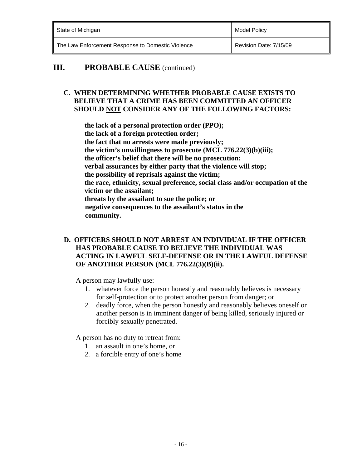| State of Michigan                                 | Model Policy           |
|---------------------------------------------------|------------------------|
| The Law Enforcement Response to Domestic Violence | Revision Date: 7/15/09 |

### **III.** PROBABLE CAUSE (continued)

### **C. WHEN DETERMINING WHETHER PROBABLE CAUSE EXISTS TO BELIEVE THAT A CRIME HAS BEEN COMMITTED AN OFFICER SHOULD NOT CONSIDER ANY OF THE FOLLOWING FACTORS:**

 **the lack of a personal protection order (PPO); the lack of a foreign protection order; the fact that no arrests were made previously; the victim's unwillingness to prosecute (MCL 776.22(3)(b)(iii); the officer's belief that there will be no prosecution; verbal assurances by either party that the violence will stop; the possibility of reprisals against the victim; the race, ethnicity, sexual preference, social class and/or occupation of the victim or the assailant; threats by the assailant to sue the police; or negative consequences to the assailant's status in the community.** 

### **D. OFFICERS SHOULD NOT ARREST AN INDIVIDUAL IF THE OFFICER HAS PROBABLE CAUSE TO BELIEVE THE INDIVIDUAL WAS ACTING IN LAWFUL SELF-DEFENSE OR IN THE LAWFUL DEFENSE OF ANOTHER PERSON (MCL 776.22(3)(B)(ii).**

A person may lawfully use:

- 1. whatever force the person honestly and reasonably believes is necessary for self-protection or to protect another person from danger; or
- 2. deadly force, when the person honestly and reasonably believes oneself or another person is in imminent danger of being killed, seriously injured or forcibly sexually penetrated.

A person has no duty to retreat from:

- 1. an assault in one's home, or
- 2. a forcible entry of one's home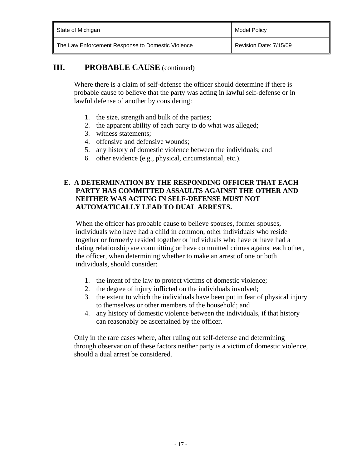| State of Michigan                                 | <b>Model Policy</b>    |
|---------------------------------------------------|------------------------|
| The Law Enforcement Response to Domestic Violence | Revision Date: 7/15/09 |

## **III.** PROBABLE CAUSE (continued)

Where there is a claim of self-defense the officer should determine if there is probable cause to believe that the party was acting in lawful self-defense or in lawful defense of another by considering:

- 1. the size, strength and bulk of the parties;
- 2. the apparent ability of each party to do what was alleged;
- 3. witness statements;
- 4. offensive and defensive wounds;
- 5. any history of domestic violence between the individuals; and
- 6. other evidence (e.g., physical, circumstantial, etc.).

### **E. A DETERMINATION BY THE RESPONDING OFFICER THAT EACH PARTY HAS COMMITTED ASSAULTS AGAINST THE OTHER AND NEITHER WAS ACTING IN SELF-DEFENSE MUST NOT AUTOMATICALLY LEAD TO DUAL ARRESTS.**

When the officer has probable cause to believe spouses, former spouses, individuals who have had a child in common, other individuals who reside together or formerly resided together or individuals who have or have had a dating relationship are committing or have committed crimes against each other, the officer, when determining whether to make an arrest of one or both individuals, should consider:

- 1. the intent of the law to protect victims of domestic violence;
- 2. the degree of injury inflicted on the individuals involved;
- 3. the extent to which the individuals have been put in fear of physical injury to themselves or other members of the household; and
- 4. any history of domestic violence between the individuals, if that history can reasonably be ascertained by the officer.

Only in the rare cases where, after ruling out self-defense and determining through observation of these factors neither party is a victim of domestic violence, should a dual arrest be considered.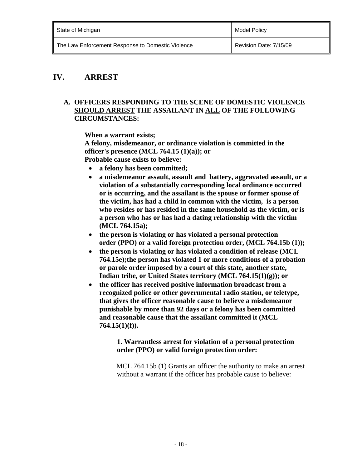| State of Michigan                                 | Model Policy           |
|---------------------------------------------------|------------------------|
| The Law Enforcement Response to Domestic Violence | Revision Date: 7/15/09 |

### **IV. ARREST**

#### **A. OFFICERS RESPONDING TO THE SCENE OF DOMESTIC VIOLENCE SHOULD ARREST THE ASSAILANT IN ALL OF THE FOLLOWING CIRCUMSTANCES:**

 **When a warrant exists;** 

 **A felony, misdemeanor, or ordinance violation is committed in the officer's presence (MCL 764.15 (1)(a)); or Probable cause exists to believe:** 

- **a felony has been committed;**
- **a misdemeanor assault, assault and battery, aggravated assault, or a violation of a substantially corresponding local ordinance occurred or is occurring, and the assailant is the spouse or former spouse of the victim, has had a child in common with the victim, is a person who resides or has resided in the same household as the victim, or is a person who has or has had a dating relationship with the victim (MCL 764.15a);**
- **the person is violating or has violated a personal protection order (PPO) or a valid foreign protection order, (MCL 764.15b (1));**
- **the person is violating or has violated a condition of release (MCL 764.15e);the person has violated 1 or more conditions of a probation or parole order imposed by a court of this state, another state, Indian tribe, or United States territory (MCL 764.15(1)(g)); or**
- **the officer has received positive information broadcast from a recognized police or other governmental radio station, or teletype, that gives the officer reasonable cause to believe a misdemeanor punishable by more than 92 days or a felony has been committed and reasonable cause that the assailant committed it (MCL 764.15(1)(f)).**

#### **1. Warrantless arrest for violation of a personal protection order (PPO) or valid foreign protection order:**

MCL 764.15b (1) Grants an officer the authority to make an arrest without a warrant if the officer has probable cause to believe: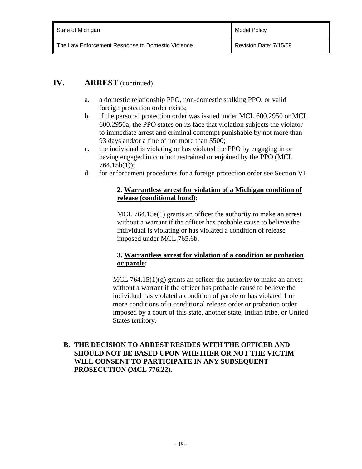- a. a domestic relationship PPO, non-domestic stalking PPO, or valid foreign protection order exists;
- b. if the personal protection order was issued under MCL 600.2950 or MCL 600.2950a, the PPO states on its face that violation subjects the violator to immediate arrest and criminal contempt punishable by not more than 93 days and/or a fine of not more than \$500;
- c. the individual is violating or has violated the PPO by engaging in or having engaged in conduct restrained or enjoined by the PPO (MCL 764.15b(1));
- d. for enforcement procedures for a foreign protection order see Section VI.

#### **2. Warrantless arrest for violation of a Michigan condition of release (conditional bond):**

MCL 764.15e(1) grants an officer the authority to make an arrest without a warrant if the officer has probable cause to believe the individual is violating or has violated a condition of release imposed under MCL 765.6b.

### **3. Warrantless arrest for violation of a condition or probation or parole:**

MCL 764.15(1) $(g)$  grants an officer the authority to make an arrest without a warrant if the officer has probable cause to believe the individual has violated a condition of parole or has violated 1 or more conditions of a conditional release order or probation order imposed by a court of this state, another state, Indian tribe, or United States territory.

### **B. THE DECISION TO ARREST RESIDES WITH THE OFFICER AND SHOULD NOT BE BASED UPON WHETHER OR NOT THE VICTIM WILL CONSENT TO PARTICIPATE IN ANY SUBSEQUENT PROSECUTION (MCL 776.22).**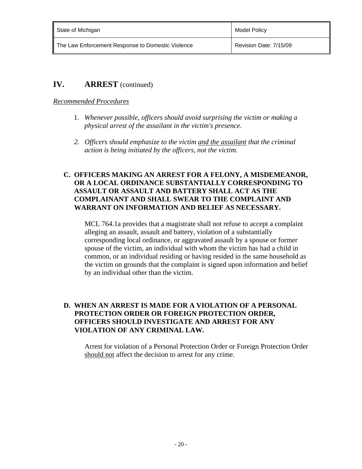| State of Michigan                                 | Model Policy           |
|---------------------------------------------------|------------------------|
| The Law Enforcement Response to Domestic Violence | Revision Date: 7/15/09 |

### *Recommended Procedures*

- 1. *Whenever possible, officers should avoid surprising the victim or making a physical arrest of the assailant in the victim's presence.*
- *2. Officers should emphasize to the victim and the assailant that the criminal action is being initiated by the officers, not the victim.*

#### **C. OFFICERS MAKING AN ARREST FOR A FELONY, A MISDEMEANOR, OR A LOCAL ORDINANCE SUBSTANTIALLY CORRESPONDING TO ASSAULT OR ASSAULT AND BATTERY SHALL ACT AS THE COMPLAINANT AND SHALL SWEAR TO THE COMPLAINT AND WARRANT ON INFORMATION AND BELIEF AS NECESSARY.**

MCL 764.1a provides that a magistrate shall not refuse to accept a complaint alleging an assault, assault and battery, violation of a substantially corresponding local ordinance, or aggravated assault by a spouse or former spouse of the victim, an individual with whom the victim has had a child in common, or an individual residing or having resided in the same household as the victim on grounds that the complaint is signed upon information and belief by an individual other than the victim.

### **D. WHEN AN ARREST IS MADE FOR A VIOLATION OF A PERSONAL PROTECTION ORDER OR FOREIGN PROTECTION ORDER, OFFICERS SHOULD INVESTIGATE AND ARREST FOR ANY VIOLATION OF ANY CRIMINAL LAW.**

Arrest for violation of a Personal Protection Order or Foreign Protection Order should not affect the decision to arrest for any crime.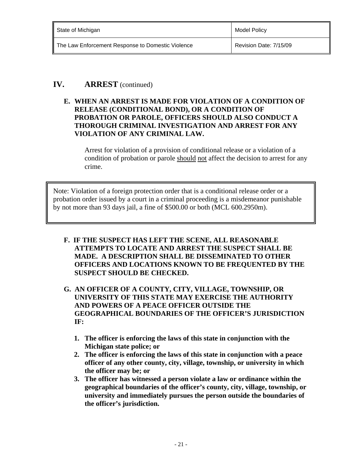| State of Michigan                                 | Model Policy           |
|---------------------------------------------------|------------------------|
| The Law Enforcement Response to Domestic Violence | Revision Date: 7/15/09 |

**E. WHEN AN ARREST IS MADE FOR VIOLATION OF A CONDITION OF RELEASE (CONDITIONAL BOND), OR A CONDITION OF PROBATION OR PAROLE, OFFICERS SHOULD ALSO CONDUCT A THOROUGH CRIMINAL INVESTIGATION AND ARREST FOR ANY VIOLATION OF ANY CRIMINAL LAW.** 

 Arrest for violation of a provision of conditional release or a violation of a condition of probation or parole should not affect the decision to arrest for any crime.

 Note: Violation of a foreign protection order that is a conditional release order or a probation order issued by a court in a criminal proceeding is a misdemeanor punishable by not more than 93 days jail, a fine of \$500.00 or both (MCL 600.2950m).

- **F. IF THE SUSPECT HAS LEFT THE SCENE, ALL REASONABLE ATTEMPTS TO LOCATE AND ARREST THE SUSPECT SHALL BE MADE. A DESCRIPTION SHALL BE DISSEMINATED TO OTHER OFFICERS AND LOCATIONS KNOWN TO BE FREQUENTED BY THE SUSPECT SHOULD BE CHECKED.**
- **G. AN OFFICER OF A COUNTY, CITY, VILLAGE, TOWNSHIP, OR UNIVERSITY OF THIS STATE MAY EXERCISE THE AUTHORITY AND POWERS OF A PEACE OFFICER OUTSIDE THE GEOGRAPHICAL BOUNDARIES OF THE OFFICER'S JURISDICTION IF:** 
	- **1. The officer is enforcing the laws of this state in conjunction with the Michigan state police; or**
	- **2. The officer is enforcing the laws of this state in conjunction with a peace officer of any other county, city, village, township, or university in which the officer may be; or**
	- **3. The officer has witnessed a person violate a law or ordinance within the geographical boundaries of the officer's county, city, village, township, or university and immediately pursues the person outside the boundaries of the officer's jurisdiction.**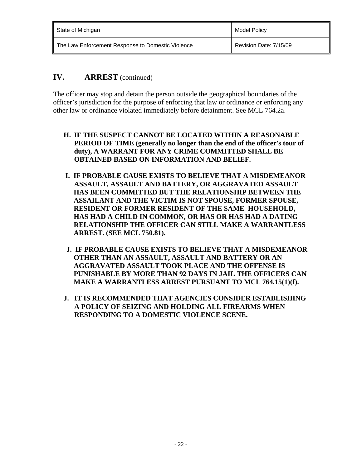| State of Michigan                                 | Model Policy           |
|---------------------------------------------------|------------------------|
| The Law Enforcement Response to Domestic Violence | Revision Date: 7/15/09 |

The officer may stop and detain the person outside the geographical boundaries of the officer's jurisdiction for the purpose of enforcing that law or ordinance or enforcing any other law or ordinance violated immediately before detainment. See MCL 764.2a.

- **H. IF THE SUSPECT CANNOT BE LOCATED WITHIN A REASONABLE PERIOD OF TIME (generally no longer than the end of the officer's tour of duty), A WARRANT FOR ANY CRIME COMMITTED SHALL BE OBTAINED BASED ON INFORMATION AND BELIEF.**
- **I. IF PROBABLE CAUSE EXISTS TO BELIEVE THAT A MISDEMEANOR ASSAULT, ASSAULT AND BATTERY, OR AGGRAVATED ASSAULT HAS BEEN COMMITTED BUT THE RELATIONSHIP BETWEEN THE ASSAILANT AND THE VICTIM IS NOT SPOUSE, FORMER SPOUSE, RESIDENT OR FORMER RESIDENT OF THE SAME HOUSEHOLD, HAS HAD A CHILD IN COMMON, OR HAS OR HAS HAD A DATING RELATIONSHIP THE OFFICER CAN STILL MAKE A WARRANTLESS ARREST. (SEE MCL 750.81).**
- **J. IF PROBABLE CAUSE EXISTS TO BELIEVE THAT A MISDEMEANOR OTHER THAN AN ASSAULT, ASSAULT AND BATTERY OR AN AGGRAVATED ASSAULT TOOK PLACE AND THE OFFENSE IS PUNISHABLE BY MORE THAN 92 DAYS IN JAIL THE OFFICERS CAN MAKE A WARRANTLESS ARREST PURSUANT TO MCL 764.15(1)(f).**
- **J. IT IS RECOMMENDED THAT AGENCIES CONSIDER ESTABLISHING A POLICY OF SEIZING AND HOLDING ALL FIREARMS WHEN RESPONDING TO A DOMESTIC VIOLENCE SCENE.**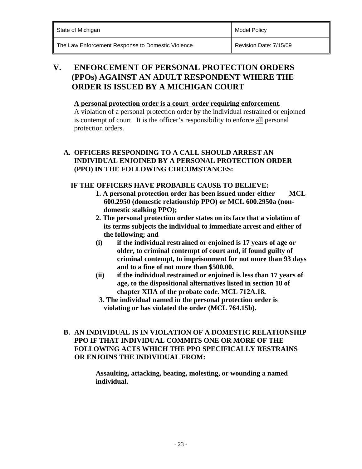**Model Policy** 

The Law Enforcement Response to Domestic Violence **Revision Date: 7/15/09** 

## **V. ENFORCEMENT OF PERSONAL PROTECTION ORDERS (PPOs) AGAINST AN ADULT RESPONDENT WHERE THE ORDER IS ISSUED BY A MICHIGAN COURT**

#### **A personal protection order is a court order requiring enforcement**.

A violation of a personal protection order by the individual restrained or enjoined is contempt of court. It is the officer's responsibility to enforce all personal protection orders.

### **A. OFFICERS RESPONDING TO A CALL SHOULD ARREST AN INDIVIDUAL ENJOINED BY A PERSONAL PROTECTION ORDER (PPO) IN THE FOLLOWING CIRCUMSTANCES:**

### **IF THE OFFICERS HAVE PROBABLE CAUSE TO BELIEVE:**

- **1. A personal protection order has been issued under either MCL 600.2950 (domestic relationship PPO) or MCL 600.2950a (nondomestic stalking PPO);**
- **2. The personal protection order states on its face that a violation of its terms subjects the individual to immediate arrest and either of the following; and**
- **(i) if the individual restrained or enjoined is 17 years of age or older, to criminal contempt of court and, if found guilty of criminal contempt, to imprisonment for not more than 93 days and to a fine of not more than \$500.00.**
- **(ii) if the individual restrained or enjoined is less than 17 years of age, to the dispositional alternatives listed in section 18 of chapter XIIA of the probate code. MCL 712A.18.**
- **3. The individual named in the personal protection order is violating or has violated the order (MCL 764.15b).**

### **B. AN INDIVIDUAL IS IN VIOLATION OF A DOMESTIC RELATIONSHIP PPO IF THAT INDIVIDUAL COMMITS ONE OR MORE OF THE FOLLOWING ACTS WHICH THE PPO SPECIFICALLY RESTRAINS OR ENJOINS THE INDIVIDUAL FROM:**

 **Assaulting, attacking, beating, molesting, or wounding a named individual.**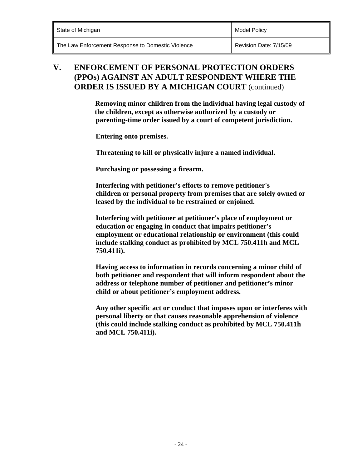| State of Michigan | <b>Model Policy</b> |
|-------------------|---------------------|
|-------------------|---------------------|

### **V. ENFORCEMENT OF PERSONAL PROTECTION ORDERS (PPOs) AGAINST AN ADULT RESPONDENT WHERE THE ORDER IS ISSUED BY A MICHIGAN COURT** (continued)

 **Removing minor children from the individual having legal custody of the children, except as otherwise authorized by a custody or parenting-time order issued by a court of competent jurisdiction.** 

 **Entering onto premises.** 

 **Threatening to kill or physically injure a named individual.** 

 **Purchasing or possessing a firearm.** 

**Interfering with petitioner's efforts to remove petitioner's children or personal property from premises that are solely owned or leased by the individual to be restrained or enjoined.** 

**Interfering with petitioner at petitioner's place of employment or education or engaging in conduct that impairs petitioner's employment or educational relationship or environment (this could include stalking conduct as prohibited by MCL 750.411h and MCL 750.411i).** 

**Having access to information in records concerning a minor child of both petitioner and respondent that will inform respondent about the address or telephone number of petitioner and petitioner's minor child or about petitioner's employment address.** 

 **Any other specific act or conduct that imposes upon or interferes with personal liberty or that causes reasonable apprehension of violence (this could include stalking conduct as prohibited by MCL 750.411h and MCL 750.411i).**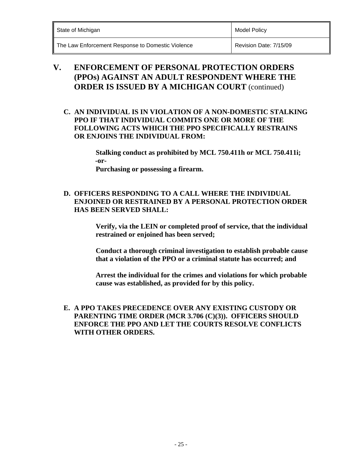| State of Michigan | <b>Model Policy</b> |
|-------------------|---------------------|
|                   |                     |

### **V. ENFORCEMENT OF PERSONAL PROTECTION ORDERS (PPOs) AGAINST AN ADULT RESPONDENT WHERE THE ORDER IS ISSUED BY A MICHIGAN COURT** (continued)

**C. AN INDIVIDUAL IS IN VIOLATION OF A NON-DOMESTIC STALKING PPO IF THAT INDIVIDUAL COMMITS ONE OR MORE OF THE FOLLOWING ACTS WHICH THE PPO SPECIFICALLY RESTRAINS OR ENJOINS THE INDIVIDUAL FROM:** 

> **Stalking conduct as prohibited by MCL 750.411h or MCL 750.411i; -or-**

 **Purchasing or possessing a firearm.** 

### **D. OFFICERS RESPONDING TO A CALL WHERE THE INDIVIDUAL ENJOINED OR RESTRAINED BY A PERSONAL PROTECTION ORDER HAS BEEN SERVED SHALL:**

 **Verify, via the LEIN or completed proof of service, that the individual restrained or enjoined has been served;** 

 **Conduct a thorough criminal investigation to establish probable cause that a violation of the PPO or a criminal statute has occurred; and** 

 **Arrest the individual for the crimes and violations for which probable cause was established, as provided for by this policy.** 

 **E. A PPO TAKES PRECEDENCE OVER ANY EXISTING CUSTODY OR PARENTING TIME ORDER (MCR 3.706 (C)(3)). OFFICERS SHOULD ENFORCE THE PPO AND LET THE COURTS RESOLVE CONFLICTS WITH OTHER ORDERS.**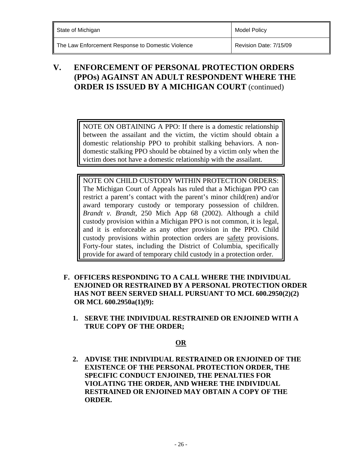### **V. ENFORCEMENT OF PERSONAL PROTECTION ORDERS (PPOs) AGAINST AN ADULT RESPONDENT WHERE THE ORDER IS ISSUED BY A MICHIGAN COURT** (continued)

NOTE ON OBTAINING A PPO: If there is a domestic relationship between the assailant and the victim, the victim should obtain a domestic relationship PPO to prohibit stalking behaviors. A nondomestic stalking PPO should be obtained by a victim only when the victim does not have a domestic relationship with the assailant.

NOTE ON CHILD CUSTODY WITHIN PROTECTION ORDERS: The Michigan Court of Appeals has ruled that a Michigan PPO can restrict a parent's contact with the parent's minor child(ren) and/or award temporary custody or temporary possession of children. *Brandt v. Brandt,* 250 Mich App 68 (2002). Although a child custody provision within a Michigan PPO is not common, it is legal, and it is enforceable as any other provision in the PPO. Child custody provisions within protection orders are safety provisions. Forty-four states, including the District of Columbia, specifically provide for award of temporary child custody in a protection order.

- **F. OFFICERS RESPONDING TO A CALL WHERE THE INDIVIDUAL ENJOINED OR RESTRAINED BY A PERSONAL PROTECTION ORDER HAS NOT BEEN SERVED SHALL PURSUANT TO MCL 600.2950(2)(2) OR MCL 600.2950a(1)(9):** 
	- **1. SERVE THE INDIVIDUAL RESTRAINED OR ENJOINED WITH A TRUE COPY OF THE ORDER;**

### **OR**

**2. ADVISE THE INDIVIDUAL RESTRAINED OR ENJOINED OF THE EXISTENCE OF THE PERSONAL PROTECTION ORDER, THE SPECIFIC CONDUCT ENJOINED, THE PENALTIES FOR VIOLATING THE ORDER, AND WHERE THE INDIVIDUAL RESTRAINED OR ENJOINED MAY OBTAIN A COPY OF THE ORDER.**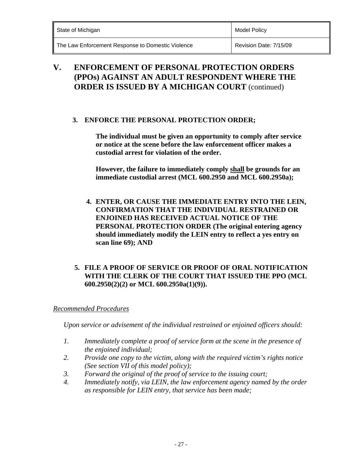| State of Michigan | Model Policy |
|-------------------|--------------|
|                   |              |

### **V. ENFORCEMENT OF PERSONAL PROTECTION ORDERS (PPOs) AGAINST AN ADULT RESPONDENT WHERE THE ORDER IS ISSUED BY A MICHIGAN COURT** (continued)

### **3. ENFORCE THE PERSONAL PROTECTION ORDER;**

**The individual must be given an opportunity to comply after service or notice at the scene before the law enforcement officer makes a custodial arrest for violation of the order.** 

 **However, the failure to immediately comply shall be grounds for an immediate custodial arrest (MCL 600.2950 and MCL 600.2950a);** 

 **4. ENTER, OR CAUSE THE IMMEDIATE ENTRY INTO THE LEIN, CONFIRMATION THAT THE INDIVIDUAL RESTRAINED OR ENJOINED HAS RECEIVED ACTUAL NOTICE OF THE PERSONAL PROTECTION ORDER (The original entering agency should immediately modify the LEIN entry to reflect a yes entry on scan line 69); AND** 

### **5. FILE A PROOF OF SERVICE OR PROOF OF ORAL NOTIFICATION WITH THE CLERK OF THE COURT THAT ISSUED THE PPO (MCL 600.2950(2)(2) or MCL 600.2950a(1)(9)).**

### *Recommended Procedures*

*Upon service or advisement of the individual restrained or enjoined officers should:* 

- *1. Immediately complete a proof of service form at the scene in the presence of the enjoined individual;*
- *2. Provide one copy to the victim, along with the required victim's rights notice (See section VII of this model policy);*
- *3. Forward the original of the proof of service to the issuing court;*
- *4. Immediately notify, via LEIN, the law enforcement agency named by the order as responsible for LEIN entry, that service has been made;*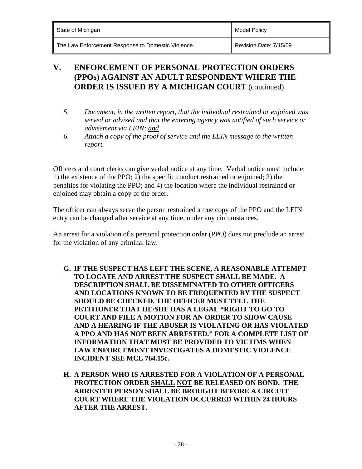| State of Michigan | <b>Model Policy</b> |
|-------------------|---------------------|
|                   |                     |

### **V. ENFORCEMENT OF PERSONAL PROTECTION ORDERS (PPOs) AGAINST AN ADULT RESPONDENT WHERE THE ORDER IS ISSUED BY A MICHIGAN COURT** (continued)

- *5. Document, in the written report, that the individual restrained or enjoined was served or advised and that the entering agency was notified of such service or advisement via LEIN; and*
- *6. Attach a copy of the proof of service and the LEIN message to the written report.*

Officers and court clerks can give verbal notice at any time. Verbal notice must include: 1) the existence of the PPO; 2) the specific conduct restrained or enjoined; 3) the penalties for violating the PPO; and 4) the location where the individual restrained or enjoined may obtain a copy of the order.

The officer can always serve the person restrained a true copy of the PPO and the LEIN entry can be changed after service at any time, under any circumstances.

An arrest for a violation of a personal protection order (PPO) does not preclude an arrest for the violation of any criminal law.

- **G. IF THE SUSPECT HAS LEFT THE SCENE, A REASONABLE ATTEMPT TO LOCATE AND ARREST THE SUSPECT SHALL BE MADE. A DESCRIPTION SHALL BE DISSEMINATED TO OTHER OFFICERS AND LOCATIONS KNOWN TO BE FREQUENTED BY THE SUSPECT SHOULD BE CHECKED. THE OFFICER MUST TELL THE PETITIONER THAT HE/SHE HAS A LEGAL "RIGHT TO GO TO COURT AND FILE A MOTION FOR AN ORDER TO SHOW CAUSE AND A HEARING IF THE ABUSER IS VIOLATING OR HAS VIOLATED A PPO AND HAS NOT BEEN ARRESTED." FOR A COMPLETE LIST OF INFORMATION THAT MUST BE PROVIDED TO VICTIMS WHEN LAW ENFORCEMENT INVESTIGATES A DOMESTIC VIOLENCE INCIDENT SEE MCL 764.15c.**
- **H. A PERSON WHO IS ARRESTED FOR A VIOLATION OF A PERSONAL PROTECTION ORDER SHALL NOT BE RELEASED ON BOND. THE ARRESTED PERSON SHALL BE BROUGHT BEFORE A CIRCUIT COURT WHERE THE VIOLATION OCCURRED WITHIN 24 HOURS AFTER THE ARREST.**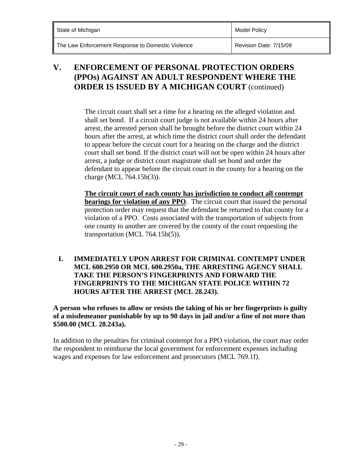| State of Michigan | <b>Model Policy</b> |
|-------------------|---------------------|
|                   |                     |

### **V. ENFORCEMENT OF PERSONAL PROTECTION ORDERS (PPOs) AGAINST AN ADULT RESPONDENT WHERE THE ORDER IS ISSUED BY A MICHIGAN COURT** (continued)

The circuit court shall set a time for a hearing on the alleged violation and shall set bond. If a circuit court judge is not available within 24 hours after arrest, the arrested person shall be brought before the district court within 24 hours after the arrest, at which time the district court shall order the defendant to appear before the circuit court for a hearing on the charge and the district court shall set bond. If the district court will not be open within 24 hours after arrest, a judge or district court magistrate shall set bond and order the defendant to appear before the circuit court in the county for a hearing on the charge (MCL 764.15b(3)).

**The circuit court of each county has jurisdiction to conduct all contempt hearings for violation of any PPO**. The circuit court that issued the personal protection order may request that the defendant be returned to that county for a violation of a PPO. Costs associated with the transportation of subjects from one county to another are covered by the county of the court requesting the transportation (MCL 764.15b(5)).

#### **I. IMMEDIATELY UPON ARREST FOR CRIMINAL CONTEMPT UNDER MCL 600.2950 OR MCL 600.2950a, THE ARRESTING AGENCY SHALL TAKE THE PERSON'S FINGERPRINTS AND FORWARD THE FINGERPRINTS TO THE MICHIGAN STATE POLICE WITHIN 72 HOURS AFTER THE ARREST (MCL 28.243).**

 **A person who refuses to allow or resists the taking of his or her fingerprints is guilty of a misdemeanor punishable by up to 90 days in jail and/or a fine of not more than \$500.00 (MCL 28.243a).** 

In addition to the penalties for criminal contempt for a PPO violation, the court may order the respondent to reimburse the local government for enforcement expenses including wages and expenses for law enforcement and prosecutors (MCL 769.1f).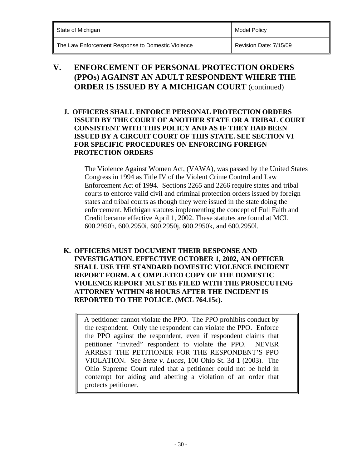| State of Michigan | <b>Model Policy</b> |
|-------------------|---------------------|
|                   |                     |

### **V. ENFORCEMENT OF PERSONAL PROTECTION ORDERS (PPOs) AGAINST AN ADULT RESPONDENT WHERE THE ORDER IS ISSUED BY A MICHIGAN COURT** (continued)

#### **J. OFFICERS SHALL ENFORCE PERSONAL PROTECTION ORDERS ISSUED BY THE COURT OF ANOTHER STATE OR A TRIBAL COURT CONSISTENT WITH THIS POLICY AND AS IF THEY HAD BEEN ISSUED BY A CIRCUIT COURT OF THIS STATE. SEE SECTION VI FOR SPECIFIC PROCEDURES ON ENFORCING FOREIGN PROTECTION ORDERS**

The Violence Against Women Act, (VAWA), was passed by the United States Congress in 1994 as Title IV of the Violent Crime Control and Law Enforcement Act of 1994. Sections 2265 and 2266 require states and tribal courts to enforce valid civil and criminal protection orders issued by foreign states and tribal courts as though they were issued in the state doing the enforcement. Michigan statutes implementing the concept of Full Faith and Credit became effective April 1, 2002. These statutes are found at MCL 600.2950h, 600.2950i, 600.2950j, 600.2950k, and 600.2950l.

#### **K. OFFICERS MUST DOCUMENT THEIR RESPONSE AND INVESTIGATION. EFFECTIVE OCTOBER 1, 2002, AN OFFICER SHALL USE THE STANDARD DOMESTIC VIOLENCE INCIDENT REPORT FORM. A COMPLETED COPY OF THE DOMESTIC VIOLENCE REPORT MUST BE FILED WITH THE PROSECUTING ATTORNEY WITHIN 48 HOURS AFTER THE INCIDENT IS REPORTED TO THE POLICE. (MCL 764.15c).**

A petitioner cannot violate the PPO. The PPO prohibits conduct by the respondent. Only the respondent can violate the PPO. Enforce the PPO against the respondent, even if respondent claims that petitioner "invited" respondent to violate the PPO. NEVER ARREST THE PETITIONER FOR THE RESPONDENT'S PPO VIOLATION. See *State v. Lucas*, 100 Ohio St. 3d 1 (2003). The Ohio Supreme Court ruled that a petitioner could not be held in contempt for aiding and abetting a violation of an order that protects petitioner.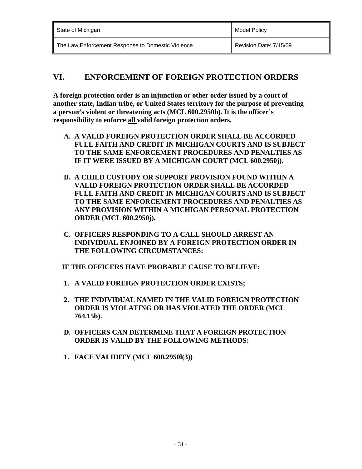| State of Michigan                                 | Model Policy           |
|---------------------------------------------------|------------------------|
| The Law Enforcement Response to Domestic Violence | Revision Date: 7/15/09 |

### **VI. ENFORCEMENT OF FOREIGN PROTECTION ORDERS**

 **A foreign protection order is an injunction or other order issued by a court of another state, Indian tribe, or United States territory for the purpose of preventing a person's violent or threatening acts (MCL 600.2950h). It is the officer's responsibility to enforce all valid foreign protection orders.** 

- **A. A VALID FOREIGN PROTECTION ORDER SHALL BE ACCORDED FULL FAITH AND CREDIT IN MICHIGAN COURTS AND IS SUBJECT TO THE SAME ENFORCEMENT PROCEDURES AND PENALTIES AS IF IT WERE ISSUED BY A MICHIGAN COURT (MCL 600.2950j).**
- **B. A CHILD CUSTODY OR SUPPORT PROVISION FOUND WITHIN A VALID FOREIGN PROTECTION ORDER SHALL BE ACCORDED FULL FAITH AND CREDIT IN MICHIGAN COURTS AND IS SUBJECT TO THE SAME ENFORCEMENT PROCEDURES AND PENALTIES AS ANY PROVISION WITHIN A MICHIGAN PERSONAL PROTECTION ORDER (MCL 600.2950j).**
- **C. OFFICERS RESPONDING TO A CALL SHOULD ARREST AN INDIVIDUAL ENJOINED BY A FOREIGN PROTECTION ORDER IN THE FOLLOWING CIRCUMSTANCES:**

 **IF THE OFFICERS HAVE PROBABLE CAUSE TO BELIEVE:** 

- **1. A VALID FOREIGN PROTECTION ORDER EXISTS;**
- **2. THE INDIVIDUAL NAMED IN THE VALID FOREIGN PROTECTION ORDER IS VIOLATING OR HAS VIOLATED THE ORDER (MCL 764.15b).**
- **D. OFFICERS CAN DETERMINE THAT A FOREIGN PROTECTION ORDER IS VALID BY THE FOLLOWING METHODS:**
- **1. FACE VALIDITY (MCL 600.2950l(3))**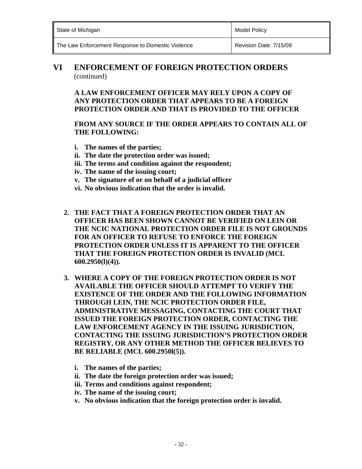**Model Policy** 

The Law Enforcement Response to Domestic Violence **Revision Date: 7/15/09** 

### **VI ENFORCEMENT OF FOREIGN PROTECTION ORDERS**  (continued)

**A LAW ENFORCEMENT OFFICER MAY RELY UPON A COPY OF ANY PROTECTION ORDER THAT APPEARS TO BE A FOREIGN PROTECTION ORDER AND THAT IS PROVIDED TO THE OFFICER** 

#### **FROM ANY SOURCE IF THE ORDER APPEARS TO CONTAIN ALL OF THE FOLLOWING:**

- **i. The names of the parties;**
- **ii. The date the protection order was issued;**
- **iii. The terms and condition against the respondent;**
- **iv. The name of the issuing court;**
- **v. The signature of or on behalf of a judicial officer**
- **vi. No obvious indication that the order is invalid.**
- **2. THE FACT THAT A FOREIGN PROTECTION ORDER THAT AN OFFICER HAS BEEN SHOWN CANNOT BE VERIFIED ON LEIN OR THE NCIC NATIONAL PROTECTION ORDER FILE IS NOT GROUNDS FOR AN OFFICER TO REFUSE TO ENFORCE THE FOREIGN PROTECTION ORDER UNLESS IT IS APPARENT TO THE OFFICER THAT THE FOREIGN PROTECTION ORDER IS INVALID (MCL 600.2950(l)(4)).**
- **3. WHERE A COPY OF THE FOREIGN PROTECTION ORDER IS NOT AVAILABLE THE OFFICER SHOULD ATTEMPT TO VERIFY THE EXISTENCE OF THE ORDER AND THE FOLLOWING INFORMATION THROUGH LEIN, THE NCIC PROTECTION ORDER FILE, ADMINISTRATIVE MESSAGING, CONTACTING THE COURT THAT ISSUED THE FOREIGN PROTECTION ORDER, CONTACTING THE LAW ENFORCEMENT AGENCY IN THE ISSUING JURISDICTION, CONTACTING THE ISSUING JURISDICTION'S PROTECTION ORDER REGISTRY, OR ANY OTHER METHOD THE OFFICER BELIEVES TO BE RELIABLE (MCL 600.2950l(5)).** 
	- **i. The names of the parties;**
	- **ii. The date the foreign protection order was issued;**
	- **iii. Terms and conditions against respondent;**
	- **iv. The name of the issuing court;**
	- **v. No obvious indication that the foreign protection order is invalid.**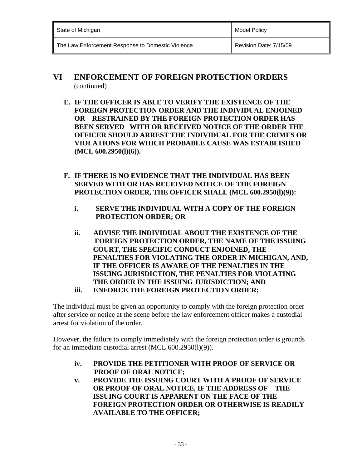| State of Michigan                                 | Model Policy           |
|---------------------------------------------------|------------------------|
| The Law Enforcement Response to Domestic Violence | Revision Date: 7/15/09 |

### **VI ENFORCEMENT OF FOREIGN PROTECTION ORDERS**  (continued)

- **E. IF THE OFFICER IS ABLE TO VERIFY THE EXISTENCE OF THE FOREIGN PROTECTION ORDER AND THE INDIVIDUAL ENJOINED OR RESTRAINED BY THE FOREIGN PROTECTION ORDER HAS BEEN SERVED WITH OR RECEIVED NOTICE OF THE ORDER THE OFFICER SHOULD ARREST THE INDIVIDUAL FOR THE CRIMES OR VIOLATIONS FOR WHICH PROBABLE CAUSE WAS ESTABLISHED (MCL 600.2950(l)(6)).**
- **F. IF THERE IS NO EVIDENCE THAT THE INDIVIDUAL HAS BEEN SERVED WITH OR HAS RECEIVED NOTICE OF THE FOREIGN**  PROTECTION ORDER, THE OFFICER SHALL (MCL 600.2950(l)(9)):
	- **i. SERVE THE INDIVIDUAL WITH A COPY OF THE FOREIGN PROTECTION ORDER; OR**
	- **ii. ADVISE THE INDIVIDUAL ABOUT THE EXISTENCE OF THE FOREIGN PROTECTION ORDER, THE NAME OF THE ISSUING COURT, THE SPECIFIC CONDUCT ENJOINED, THE PENALTIES FOR VIOLATING THE ORDER IN MICHIGAN, AND, IF THE OFFICER IS AWARE OF THE PENALTIES IN THE ISSUING JURISDICTION, THE PENALTIES FOR VIOLATING THE ORDER IN THE ISSUING JURISDICTION; AND iii. ENFORCE THE FOREIGN PROTECTION ORDER;**

The individual must be given an opportunity to comply with the foreign protection order after service or notice at the scene before the law enforcement officer makes a custodial arrest for violation of the order.

 However, the failure to comply immediately with the foreign protection order is grounds for an immediate custodial arrest (MCL 600.2950(1)(9)).

- **iv. PROVIDE THE PETITIONER WITH PROOF OF SERVICE OR PROOF OF ORAL NOTICE;**
- **v. PROVIDE THE ISSUING COURT WITH A PROOF OF SERVICE OR PROOF OF ORAL NOTICE, IF THE ADDRESS OF THE ISSUING COURT IS APPARENT ON THE FACE OF THE FOREIGN PROTECTION ORDER OR OTHERWISE IS READILY AVAILABLE TO THE OFFICER;**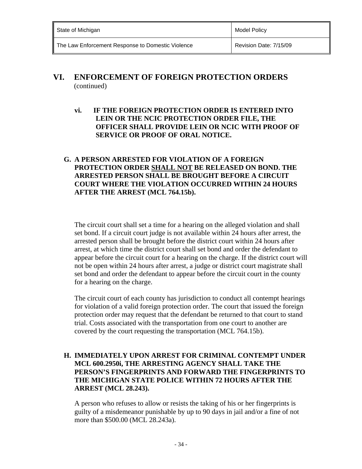| State of Michigan                                 | Model Policy           |
|---------------------------------------------------|------------------------|
| The Law Enforcement Response to Domestic Violence | Revision Date: 7/15/09 |

### **VI. ENFORCEMENT OF FOREIGN PROTECTION ORDERS**  (continued)

**vi. IF THE FOREIGN PROTECTION ORDER IS ENTERED INTO LEIN OR THE NCIC PROTECTION ORDER FILE, THE OFFICER SHALL PROVIDE LEIN OR NCIC WITH PROOF OF SERVICE OR PROOF OF ORAL NOTICE.** 

#### **G. A PERSON ARRESTED FOR VIOLATION OF A FOREIGN PROTECTION ORDER SHALL NOT BE RELEASED ON BOND. THE ARRESTED PERSON SHALL BE BROUGHT BEFORE A CIRCUIT COURT WHERE THE VIOLATION OCCURRED WITHIN 24 HOURS AFTER THE ARREST (MCL 764.15b).**

The circuit court shall set a time for a hearing on the alleged violation and shall set bond. If a circuit court judge is not available within 24 hours after arrest, the arrested person shall be brought before the district court within 24 hours after arrest, at which time the district court shall set bond and order the defendant to appear before the circuit court for a hearing on the charge. If the district court will not be open within 24 hours after arrest, a judge or district court magistrate shall set bond and order the defendant to appear before the circuit court in the county for a hearing on the charge.

The circuit court of each county has jurisdiction to conduct all contempt hearings for violation of a valid foreign protection order. The court that issued the foreign protection order may request that the defendant be returned to that court to stand trial. Costs associated with the transportation from one court to another are covered by the court requesting the transportation (MCL 764.15b).

### **H. IMMEDIATELY UPON ARREST FOR CRIMINAL CONTEMPT UNDER MCL 600.2950i, THE ARRESTING AGENCY SHALL TAKE THE PERSON'S FINGERPRINTS AND FORWARD THE FINGERPRINTS TO THE MICHIGAN STATE POLICE WITHIN 72 HOURS AFTER THE ARREST (MCL 28.243).**

A person who refuses to allow or resists the taking of his or her fingerprints is guilty of a misdemeanor punishable by up to 90 days in jail and/or a fine of not more than \$500.00 (MCL 28.243a).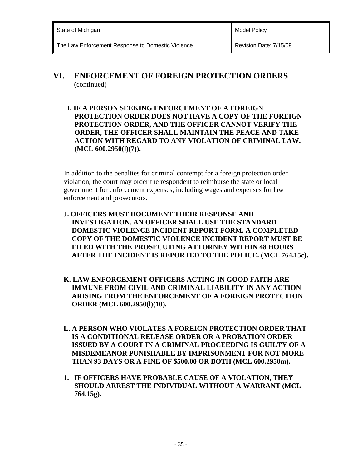| State of Michigan                                 | Model Policy           |
|---------------------------------------------------|------------------------|
| The Law Enforcement Response to Domestic Violence | Revision Date: 7/15/09 |

### **VI. ENFORCEMENT OF FOREIGN PROTECTION ORDERS**  (continued)

 **I. IF A PERSON SEEKING ENFORCEMENT OF A FOREIGN PROTECTION ORDER DOES NOT HAVE A COPY OF THE FOREIGN PROTECTION ORDER, AND THE OFFICER CANNOT VERIFY THE ORDER, THE OFFICER SHALL MAINTAIN THE PEACE AND TAKE ACTION WITH REGARD TO ANY VIOLATION OF CRIMINAL LAW. (MCL 600.2950(l)(7)).** 

In addition to the penalties for criminal contempt for a foreign protection order violation, the court may order the respondent to reimburse the state or local government for enforcement expenses, including wages and expenses for law enforcement and prosecutors.

- **J. OFFICERS MUST DOCUMENT THEIR RESPONSE AND INVESTIGATION. AN OFFICER SHALL USE THE STANDARD DOMESTIC VIOLENCE INCIDENT REPORT FORM. A COMPLETED COPY OF THE DOMESTIC VIOLENCE INCIDENT REPORT MUST BE FILED WITH THE PROSECUTING ATTORNEY WITHIN 48 HOURS AFTER THE INCIDENT IS REPORTED TO THE POLICE. (MCL 764.15c).**
- **K. LAW ENFORCEMENT OFFICERS ACTING IN GOOD FAITH ARE IMMUNE FROM CIVIL AND CRIMINAL LIABILITY IN ANY ACTION ARISING FROM THE ENFORCEMENT OF A FOREIGN PROTECTION ORDER (MCL 600.2950(l)(10).**
- **L. A PERSON WHO VIOLATES A FOREIGN PROTECTION ORDER THAT IS A CONDITIONAL RELEASE ORDER OR A PROBATION ORDER ISSUED BY A COURT IN A CRIMINAL PROCEEDING IS GUILTY OF A MISDEMEANOR PUNISHABLE BY IMPRISONMENT FOR NOT MORE THAN 93 DAYS OR A FINE OF \$500.00 OR BOTH (MCL 600.2950m).**
- **1. IF OFFICERS HAVE PROBABLE CAUSE OF A VIOLATION, THEY SHOULD ARREST THE INDIVIDUAL WITHOUT A WARRANT (MCL 764.15g).**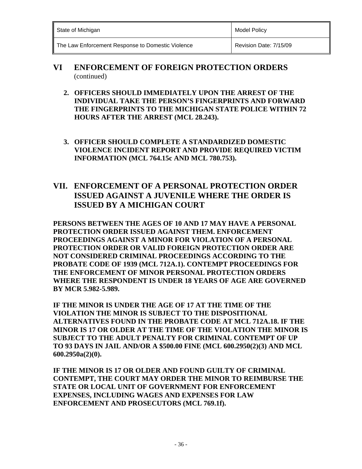| State of Michigan | <b>Model Policy</b> |
|-------------------|---------------------|
|                   |                     |

- **VI ENFORCEMENT OF FOREIGN PROTECTION ORDERS**  (continued)
	- **2. OFFICERS SHOULD IMMEDIATELY UPON THE ARREST OF THE INDIVIDUAL TAKE THE PERSON'S FINGERPRINTS AND FORWARD THE FINGERPRINTS TO THE MICHIGAN STATE POLICE WITHIN 72 HOURS AFTER THE ARREST (MCL 28.243).**
	- **3. OFFICER SHOULD COMPLETE A STANDARDIZED DOMESTIC VIOLENCE INCIDENT REPORT AND PROVIDE REQUIRED VICTIM INFORMATION (MCL 764.15c AND MCL 780.753).**

## **VII. ENFORCEMENT OF A PERSONAL PROTECTION ORDER ISSUED AGAINST A JUVENILE WHERE THE ORDER IS ISSUED BY A MICHIGAN COURT**

**PERSONS BETWEEN THE AGES OF 10 AND 17 MAY HAVE A PERSONAL PROTECTION ORDER ISSUED AGAINST THEM. ENFORCEMENT PROCEEDINGS AGAINST A MINOR FOR VIOLATION OF A PERSONAL PROTECTION ORDER OR VALID FOREIGN PROTECTION ORDER ARE NOT CONSIDERED CRIMINAL PROCEEDINGS ACCORDING TO THE PROBATE CODE OF 1939 (MCL 712A.1). CONTEMPT PROCEEDINGS FOR THE ENFORCEMENT OF MINOR PERSONAL PROTECTION ORDERS WHERE THE RESPONDENT IS UNDER 18 YEARS OF AGE ARE GOVERNED BY MCR 5.982-5.989.** 

**IF THE MINOR IS UNDER THE AGE OF 17 AT THE TIME OF THE VIOLATION THE MINOR IS SUBJECT TO THE DISPOSITIONAL ALTERNATIVES FOUND IN THE PROBATE CODE AT MCL 712A.18. IF THE MINOR IS 17 OR OLDER AT THE TIME OF THE VIOLATION THE MINOR IS SUBJECT TO THE ADULT PENALTY FOR CRIMINAL CONTEMPT OF UP TO 93 DAYS IN JAIL AND/OR A \$500.00 FINE (MCL 600.2950(2)(3) AND MCL 600.2950a(2)(0).** 

**IF THE MINOR IS 17 OR OLDER AND FOUND GUILTY OF CRIMINAL CONTEMPT, THE COURT MAY ORDER THE MINOR TO REIMBURSE THE STATE OR LOCAL UNIT OF GOVERNMENT FOR ENFORCEMENT EXPENSES, INCLUDING WAGES AND EXPENSES FOR LAW ENFORCEMENT AND PROSECUTORS (MCL 769.1f).**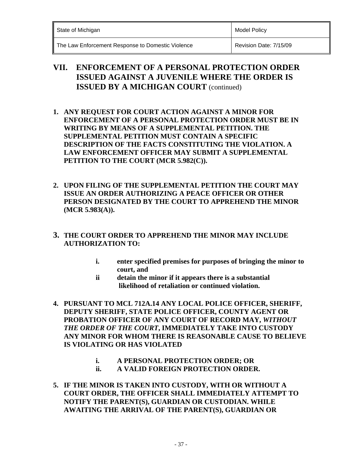| State of Michigan |                          |                               | <b>Model Policy</b>                                     |
|-------------------|--------------------------|-------------------------------|---------------------------------------------------------|
| $- \cdot$<br>- -  | $\overline{\phantom{a}}$ | .<br>$\overline{\phantom{a}}$ | $\sim$ $\sim$ $\sim$ $\sim$ $\sim$ $\sim$ $\sim$<br>_ _ |

### **VII. ENFORCEMENT OF A PERSONAL PROTECTION ORDER ISSUED AGAINST A JUVENILE WHERE THE ORDER IS ISSUED BY A MICHIGAN COURT** (continued)

- **1. ANY REQUEST FOR COURT ACTION AGAINST A MINOR FOR ENFORCEMENT OF A PERSONAL PROTECTION ORDER MUST BE IN WRITING BY MEANS OF A SUPPLEMENTAL PETITION. THE SUPPLEMENTAL PETITION MUST CONTAIN A SPECIFIC DESCRIPTION OF THE FACTS CONSTITUTING THE VIOLATION. A LAW ENFORCEMENT OFFICER MAY SUBMIT A SUPPLEMENTAL PETITION TO THE COURT (MCR 5.982(C)).**
- **2. UPON FILING OF THE SUPPLEMENTAL PETITION THE COURT MAY ISSUE AN ORDER AUTHORIZING A PEACE OFFICER OR OTHER PERSON DESIGNATED BY THE COURT TO APPREHEND THE MINOR (MCR 5.983(A)).**
- **3. THE COURT ORDER TO APPREHEND THE MINOR MAY INCLUDE AUTHORIZATION TO:**
	- **i. enter specified premises for purposes of bringing the minor to court, and**
	- **ii detain the minor if it appears there is a substantial likelihood of retaliation or continued violation.**
- **4. PURSUANT TO MCL 712A.14 ANY LOCAL POLICE OFFICER, SHERIFF, DEPUTY SHERIFF, STATE POLICE OFFICER, COUNTY AGENT OR PROBATION OFFICER OF ANY COURT OF RECORD MAY,** *WITHOUT THE ORDER OF THE COURT***, IMMEDIATELY TAKE INTO CUSTODY ANY MINOR FOR WHOM THERE IS REASONABLE CAUSE TO BELIEVE IS VIOLATING OR HAS VIOLATED** 
	- **i. A PERSONAL PROTECTION ORDER; OR**
	- **ii. A VALID FOREIGN PROTECTION ORDER.**
- **5. IF THE MINOR IS TAKEN INTO CUSTODY, WITH OR WITHOUT A COURT ORDER, THE OFFICER SHALL IMMEDIATELY ATTEMPT TO NOTIFY THE PARENT(S), GUARDIAN OR CUSTODIAN. WHILE AWAITING THE ARRIVAL OF THE PARENT(S), GUARDIAN OR**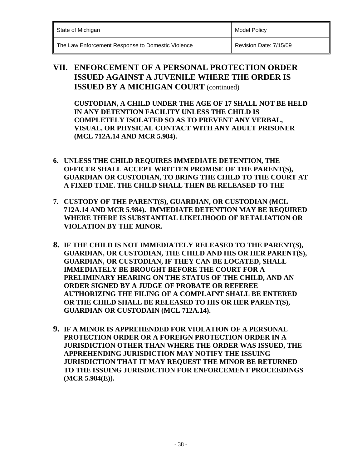**Model Policy** 

The Law Enforcement Response to Domestic Violence **Revision Date: 7/15/09** 

### **VII. ENFORCEMENT OF A PERSONAL PROTECTION ORDER ISSUED AGAINST A JUVENILE WHERE THE ORDER IS ISSUED BY A MICHIGAN COURT** (continued)

**CUSTODIAN, A CHILD UNDER THE AGE OF 17 SHALL NOT BE HELD IN ANY DETENTION FACILITY UNLESS THE CHILD IS COMPLETELY ISOLATED SO AS TO PREVENT ANY VERBAL, VISUAL, OR PHYSICAL CONTACT WITH ANY ADULT PRISONER (MCL 712A.14 AND MCR 5.984).** 

- **6. UNLESS THE CHILD REQUIRES IMMEDIATE DETENTION, THE OFFICER SHALL ACCEPT WRITTEN PROMISE OF THE PARENT(S), GUARDIAN OR CUSTODIAN, TO BRING THE CHILD TO THE COURT AT A FIXED TIME. THE CHILD SHALL THEN BE RELEASED TO THE**
- **7. CUSTODY OF THE PARENT(S), GUARDIAN, OR CUSTODIAN (MCL 712A.14 AND MCR 5.984). IMMEDIATE DETENTION MAY BE REQUIRED WHERE THERE IS SUBSTANTIAL LIKELIHOOD OF RETALIATION OR VIOLATION BY THE MINOR.**
- **8. IF THE CHILD IS NOT IMMEDIATELY RELEASED TO THE PARENT(S), GUARDIAN, OR CUSTODIAN, THE CHILD AND HIS OR HER PARENT(S), GUARDIAN, OR CUSTODIAN, IF THEY CAN BE LOCATED, SHALL IMMEDIATELY BE BROUGHT BEFORE THE COURT FOR A PRELIMINARY HEARING ON THE STATUS OF THE CHILD, AND AN ORDER SIGNED BY A JUDGE OF PROBATE OR REFEREE AUTHORIZING THE FILING OF A COMPLAINT SHALL BE ENTERED OR THE CHILD SHALL BE RELEASED TO HIS OR HER PARENT(S), GUARDIAN OR CUSTODAIN (MCL 712A.14).**
- **9. IF A MINOR IS APPREHENDED FOR VIOLATION OF A PERSONAL PROTECTION ORDER OR A FOREIGN PROTECTION ORDER IN A JURISDICTION OTHER THAN WHERE THE ORDER WAS ISSUED, THE APPREHENDING JURISDICTION MAY NOTIFY THE ISSUING JURISDICTION THAT IT MAY REQUEST THE MINOR BE RETURNED TO THE ISSUING JURISDICTION FOR ENFORCEMENT PROCEEDINGS (MCR 5.984(E)).**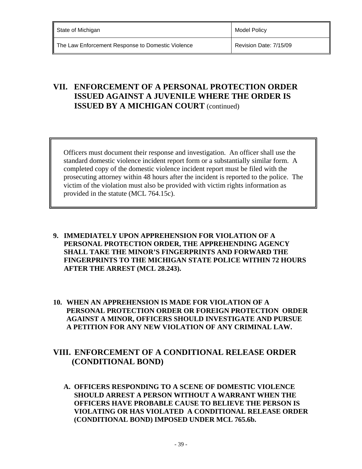### **VII. ENFORCEMENT OF A PERSONAL PROTECTION ORDER ISSUED AGAINST A JUVENILE WHERE THE ORDER IS ISSUED BY A MICHIGAN COURT** (continued)

Officers must document their response and investigation. An officer shall use the standard domestic violence incident report form or a substantially similar form. A completed copy of the domestic violence incident report must be filed with the prosecuting attorney within 48 hours after the incident is reported to the police. The victim of the violation must also be provided with victim rights information as provided in the statute (MCL 764.15c).

- **9. IMMEDIATELY UPON APPREHENSION FOR VIOLATION OF A PERSONAL PROTECTION ORDER, THE APPREHENDING AGENCY SHALL TAKE THE MINOR'S FINGERPRINTS AND FORWARD THE FINGERPRINTS TO THE MICHIGAN STATE POLICE WITHIN 72 HOURS AFTER THE ARREST (MCL 28.243).**
- **10. WHEN AN APPREHENSION IS MADE FOR VIOLATION OF A PERSONAL PROTECTION ORDER OR FOREIGN PROTECTION ORDER AGAINST A MINOR, OFFICERS SHOULD INVESTIGATE AND PURSUE A PETITION FOR ANY NEW VIOLATION OF ANY CRIMINAL LAW.**

### **VIII. ENFORCEMENT OF A CONDITIONAL RELEASE ORDER (CONDITIONAL BOND)**

**A. OFFICERS RESPONDING TO A SCENE OF DOMESTIC VIOLENCE SHOULD ARREST A PERSON WITHOUT A WARRANT WHEN THE OFFICERS HAVE PROBABLE CAUSE TO BELIEVE THE PERSON IS VIOLATING OR HAS VIOLATED A CONDITIONAL RELEASE ORDER (CONDITIONAL BOND) IMPOSED UNDER MCL 765.6b.**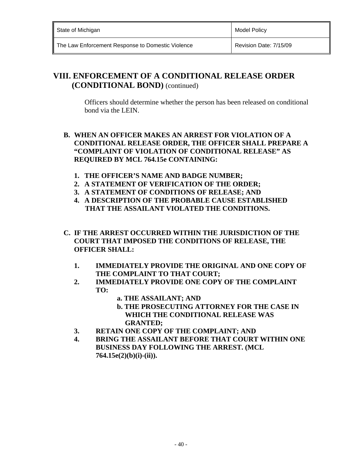| State of Michigan                                 | Model Policy           |
|---------------------------------------------------|------------------------|
| The Law Enforcement Response to Domestic Violence | Revision Date: 7/15/09 |

### **VIII. ENFORCEMENT OF A CONDITIONAL RELEASE ORDER (CONDITIONAL BOND)** (continued)

 Officers should determine whether the person has been released on conditional bond via the LEIN.

### **B. WHEN AN OFFICER MAKES AN ARREST FOR VIOLATION OF A CONDITIONAL RELEASE ORDER, THE OFFICER SHALL PREPARE A "COMPLAINT OF VIOLATION OF CONDITIONAL RELEASE" AS REQUIRED BY MCL 764.15e CONTAINING:**

- **1. THE OFFICER'S NAME AND BADGE NUMBER;**
- **2. A STATEMENT OF VERIFICATION OF THE ORDER;**
- **3. A STATEMENT OF CONDITIONS OF RELEASE; AND**
- **4. A DESCRIPTION OF THE PROBABLE CAUSE ESTABLISHED THAT THE ASSAILANT VIOLATED THE CONDITIONS.**
- **C. IF THE ARREST OCCURRED WITHIN THE JURISDICTION OF THE COURT THAT IMPOSED THE CONDITIONS OF RELEASE, THE OFFICER SHALL:** 
	- **1. IMMEDIATELY PROVIDE THE ORIGINAL AND ONE COPY OF THE COMPLAINT TO THAT COURT;**
	- **2. IMMEDIATELY PROVIDE ONE COPY OF THE COMPLAINT TO:** 
		- **a. THE ASSAILANT; AND**
		- **b. THE PROSECUTING ATTORNEY FOR THE CASE IN WHICH THE CONDITIONAL RELEASE WAS GRANTED;**
	- **3. RETAIN ONE COPY OF THE COMPLAINT; AND**
	- **4. BRING THE ASSAILANT BEFORE THAT COURT WITHIN ONE BUSINESS DAY FOLLOWING THE ARREST. (MCL 764.15e(2)(b)(i)-(ii)).**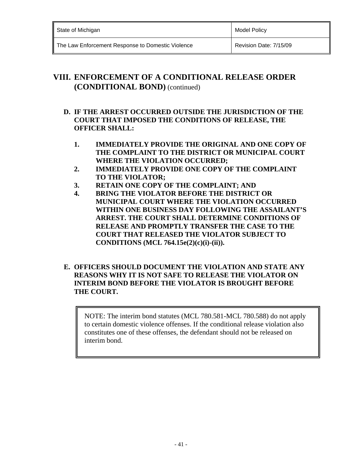| State of Michigan                                 | Model Policy           |
|---------------------------------------------------|------------------------|
| The Law Enforcement Response to Domestic Violence | Revision Date: 7/15/09 |

### **VIII. ENFORCEMENT OF A CONDITIONAL RELEASE ORDER (CONDITIONAL BOND)** (continued)

### **D. IF THE ARREST OCCURRED OUTSIDE THE JURISDICTION OF THE COURT THAT IMPOSED THE CONDITIONS OF RELEASE, THE OFFICER SHALL:**

- **1. IMMEDIATELY PROVIDE THE ORIGINAL AND ONE COPY OF THE COMPLAINT TO THE DISTRICT OR MUNICIPAL COURT WHERE THE VIOLATION OCCURRED;**
- **2. IMMEDIATELY PROVIDE ONE COPY OF THE COMPLAINT TO THE VIOLATOR;**
- **3. RETAIN ONE COPY OF THE COMPLAINT; AND**
- **4. BRING THE VIOLATOR BEFORE THE DISTRICT OR MUNICIPAL COURT WHERE THE VIOLATION OCCURRED WITHIN ONE BUSINESS DAY FOLLOWING THE ASSAILANT'S ARREST. THE COURT SHALL DETERMINE CONDITIONS OF RELEASE AND PROMPTLY TRANSFER THE CASE TO THE COURT THAT RELEASED THE VIOLATOR SUBJECT TO CONDITIONS (MCL 764.15e(2)(c)(i)-(ii)).**

### **E. OFFICERS SHOULD DOCUMENT THE VIOLATION AND STATE ANY REASONS WHY IT IS NOT SAFE TO RELEASE THE VIOLATOR ON INTERIM BOND BEFORE THE VIOLATOR IS BROUGHT BEFORE THE COURT.**

NOTE: The interim bond statutes (MCL 780.581-MCL 780.588) do not apply to certain domestic violence offenses. If the conditional release violation also constitutes one of these offenses, the defendant should not be released on interim bond.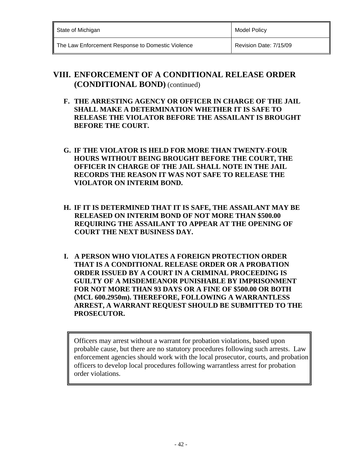| State of Michigan                                 | Model Policy           |
|---------------------------------------------------|------------------------|
| The Law Enforcement Response to Domestic Violence | Revision Date: 7/15/09 |

## **VIII. ENFORCEMENT OF A CONDITIONAL RELEASE ORDER (CONDITIONAL BOND)** (continued)

- **F. THE ARRESTING AGENCY OR OFFICER IN CHARGE OF THE JAIL SHALL MAKE A DETERMINATION WHETHER IT IS SAFE TO RELEASE THE VIOLATOR BEFORE THE ASSAILANT IS BROUGHT BEFORE THE COURT.**
- **G. IF THE VIOLATOR IS HELD FOR MORE THAN TWENTY-FOUR HOURS WITHOUT BEING BROUGHT BEFORE THE COURT, THE OFFICER IN CHARGE OF THE JAIL SHALL NOTE IN THE JAIL RECORDS THE REASON IT WAS NOT SAFE TO RELEASE THE VIOLATOR ON INTERIM BOND.**
- **H. IF IT IS DETERMINED THAT IT IS SAFE, THE ASSAILANT MAY BE RELEASED ON INTERIM BOND OF NOT MORE THAN \$500.00 REQUIRING THE ASSAILANT TO APPEAR AT THE OPENING OF COURT THE NEXT BUSINESS DAY.**
- **I. A PERSON WHO VIOLATES A FOREIGN PROTECTION ORDER THAT IS A CONDITIONAL RELEASE ORDER OR A PROBATION ORDER ISSUED BY A COURT IN A CRIMINAL PROCEEDING IS GUILTY OF A MISDEMEANOR PUNISHABLE BY IMPRISONMENT FOR NOT MORE THAN 93 DAYS OR A FINE OF \$500.00 OR BOTH (MCL 600.2950m). THEREFORE, FOLLOWING A WARRANTLESS ARREST, A WARRANT REQUEST SHOULD BE SUBMITTED TO THE PROSECUTOR.**

Officers may arrest without a warrant for probation violations, based upon probable cause, but there are no statutory procedures following such arrests. Law enforcement agencies should work with the local prosecutor, courts, and probation officers to develop local procedures following warrantless arrest for probation order violations.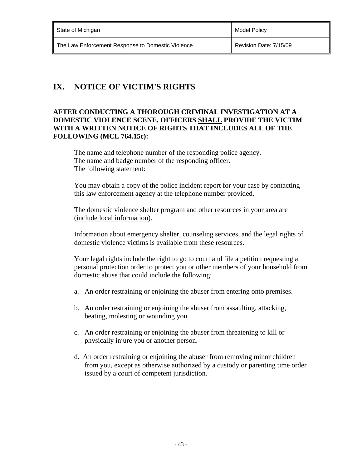| State of Michigan                                 | <b>Model Policy</b>    |
|---------------------------------------------------|------------------------|
| The Law Enforcement Response to Domestic Violence | Revision Date: 7/15/09 |

# **IX. NOTICE OF VICTIM'S RIGHTS**

### **AFTER CONDUCTING A THOROUGH CRIMINAL INVESTIGATION AT A DOMESTIC VIOLENCE SCENE, OFFICERS SHALL PROVIDE THE VICTIM WITH A WRITTEN NOTICE OF RIGHTS THAT INCLUDES ALL OF THE FOLLOWING (MCL 764.15c):**

 The name and telephone number of the responding police agency. The name and badge number of the responding officer. The following statement:

You may obtain a copy of the police incident report for your case by contacting this law enforcement agency at the telephone number provided.

The domestic violence shelter program and other resources in your area are (include local information).

Information about emergency shelter, counseling services, and the legal rights of domestic violence victims is available from these resources.

Your legal rights include the right to go to court and file a petition requesting a personal protection order to protect you or other members of your household from domestic abuse that could include the following:

- a. An order restraining or enjoining the abuser from entering onto premises.
- b. An order restraining or enjoining the abuser from assaulting, attacking, beating, molesting or wounding you.
- c. An order restraining or enjoining the abuser from threatening to kill or physically injure you or another person.
- d. An order restraining or enjoining the abuser from removing minor children from you, except as otherwise authorized by a custody or parenting time order issued by a court of competent jurisdiction.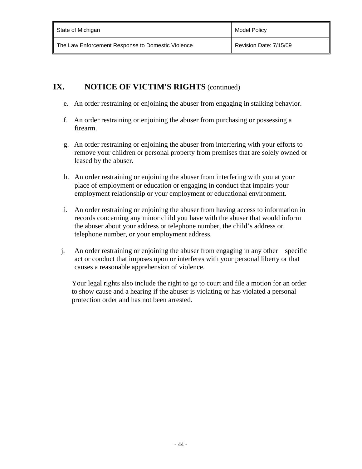| State of Michigan                                 | Model Policy           |
|---------------------------------------------------|------------------------|
| The Law Enforcement Response to Domestic Violence | Revision Date: 7/15/09 |

## **IX.** NOTICE OF VICTIM'S RIGHTS (continued)

- e. An order restraining or enjoining the abuser from engaging in stalking behavior.
- f. An order restraining or enjoining the abuser from purchasing or possessing a firearm.
- g. An order restraining or enjoining the abuser from interfering with your efforts to remove your children or personal property from premises that are solely owned or leased by the abuser.
- h. An order restraining or enjoining the abuser from interfering with you at your place of employment or education or engaging in conduct that impairs your employment relationship or your employment or educational environment.
- i. An order restraining or enjoining the abuser from having access to information in records concerning any minor child you have with the abuser that would inform the abuser about your address or telephone number, the child's address or telephone number, or your employment address.
- j. An order restraining or enjoining the abuser from engaging in any other specific act or conduct that imposes upon or interferes with your personal liberty or that causes a reasonable apprehension of violence.

Your legal rights also include the right to go to court and file a motion for an order to show cause and a hearing if the abuser is violating or has violated a personal protection order and has not been arrested.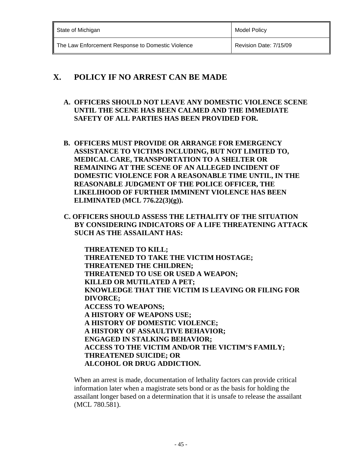| State of Michigan                                 | Model Policy           |
|---------------------------------------------------|------------------------|
| The Law Enforcement Response to Domestic Violence | Revision Date: 7/15/09 |

## **X. POLICY IF NO ARREST CAN BE MADE**

- **A. OFFICERS SHOULD NOT LEAVE ANY DOMESTIC VIOLENCE SCENE UNTIL THE SCENE HAS BEEN CALMED AND THE IMMEDIATE SAFETY OF ALL PARTIES HAS BEEN PROVIDED FOR.**
- **B. OFFICERS MUST PROVIDE OR ARRANGE FOR EMERGENCY ASSISTANCE TO VICTIMS INCLUDING, BUT NOT LIMITED TO, MEDICAL CARE, TRANSPORTATION TO A SHELTER OR REMAINING AT THE SCENE OF AN ALLEGED INCIDENT OF DOMESTIC VIOLENCE FOR A REASONABLE TIME UNTIL, IN THE REASONABLE JUDGMENT OF THE POLICE OFFICER, THE LIKELIHOOD OF FURTHER IMMINENT VIOLENCE HAS BEEN ELIMINATED (MCL 776.22(3)(g)).**
- **C. OFFICERS SHOULD ASSESS THE LETHALITY OF THE SITUATION BY CONSIDERING INDICATORS OF A LIFE THREATENING ATTACK SUCH AS THE ASSAILANT HAS:**

 **THREATENED TO KILL; THREATENED TO TAKE THE VICTIM HOSTAGE; THREATENED THE CHILDREN; THREATENED TO USE OR USED A WEAPON; KILLED OR MUTILATED A PET; KNOWLEDGE THAT THE VICTIM IS LEAVING OR FILING FOR DIVORCE; ACCESS TO WEAPONS; A HISTORY OF WEAPONS USE; A HISTORY OF DOMESTIC VIOLENCE; A HISTORY OF ASSAULTIVE BEHAVIOR; ENGAGED IN STALKING BEHAVIOR; ACCESS TO THE VICTIM AND/OR THE VICTIM'S FAMILY; THREATENED SUICIDE; OR ALCOHOL OR DRUG ADDICTION.** 

When an arrest is made, documentation of lethality factors can provide critical information later when a magistrate sets bond or as the basis for holding the assailant longer based on a determination that it is unsafe to release the assailant (MCL 780.581).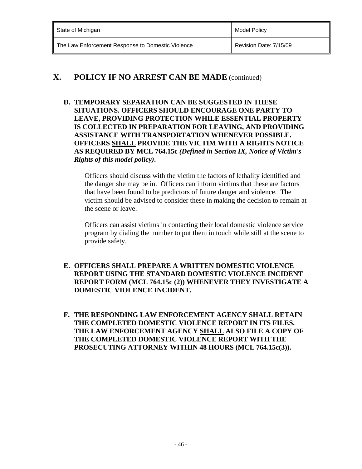| State of Michigan                                 | Model Policy           |
|---------------------------------------------------|------------------------|
| The Law Enforcement Response to Domestic Violence | Revision Date: 7/15/09 |

### **X. POLICY IF NO ARREST CAN BE MADE** (continued)

**D. TEMPORARY SEPARATION CAN BE SUGGESTED IN THESE SITUATIONS. OFFICERS SHOULD ENCOURAGE ONE PARTY TO LEAVE, PROVIDING PROTECTION WHILE ESSENTIAL PROPERTY IS COLLECTED IN PREPARATION FOR LEAVING, AND PROVIDING ASSISTANCE WITH TRANSPORTATION WHENEVER POSSIBLE. OFFICERS SHALL PROVIDE THE VICTIM WITH A RIGHTS NOTICE AS REQUIRED BY MCL 764.15c** *(Defined in Section IX, Notice of Victim's Rights of this model policy)***.**

Officers should discuss with the victim the factors of lethality identified and the danger she may be in. Officers can inform victims that these are factors that have been found to be predictors of future danger and violence. The victim should be advised to consider these in making the decision to remain at the scene or leave.

Officers can assist victims in contacting their local domestic violence service program by dialing the number to put them in touch while still at the scene to provide safety.

- **E. OFFICERS SHALL PREPARE A WRITTEN DOMESTIC VIOLENCE REPORT USING THE STANDARD DOMESTIC VIOLENCE INCIDENT REPORT FORM (MCL 764.15c (2)) WHENEVER THEY INVESTIGATE A DOMESTIC VIOLENCE INCIDENT.**
- **F. THE RESPONDING LAW ENFORCEMENT AGENCY SHALL RETAIN THE COMPLETED DOMESTIC VIOLENCE REPORT IN ITS FILES. THE LAW ENFORCEMENT AGENCY SHALL ALSO FILE A COPY OF THE COMPLETED DOMESTIC VIOLENCE REPORT WITH THE PROSECUTING ATTORNEY WITHIN 48 HOURS (MCL 764.15c(3)).**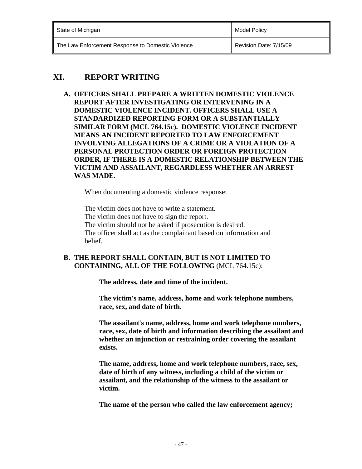| State of Michigan                                 | <b>Model Policy</b>    |
|---------------------------------------------------|------------------------|
| The Law Enforcement Response to Domestic Violence | Revision Date: 7/15/09 |

# **XI. REPORT WRITING**

**A. OFFICERS SHALL PREPARE A WRITTEN DOMESTIC VIOLENCE REPORT AFTER INVESTIGATING OR INTERVENING IN A DOMESTIC VIOLENCE INCIDENT. OFFICERS SHALL USE A STANDARDIZED REPORTING FORM OR A SUBSTANTIALLY SIMILAR FORM (MCL 764.15c). DOMESTIC VIOLENCE INCIDENT MEANS AN INCIDENT REPORTED TO LAW ENFORCEMENT INVOLVING ALLEGATIONS OF A CRIME OR A VIOLATION OF A PERSONAL PROTECTION ORDER OR FOREIGN PROTECTION ORDER, IF THERE IS A DOMESTIC RELATIONSHIP BETWEEN THE VICTIM AND ASSAILANT, REGARDLESS WHETHER AN ARREST WAS MADE.** 

When documenting a domestic violence response:

 The victim does not have to write a statement. The victim does not have to sign the report. The victim should not be asked if prosecution is desired. The officer shall act as the complainant based on information and belief.

### **B. THE REPORT SHALL CONTAIN, BUT IS NOT LIMITED TO CONTAINING, ALL OF THE FOLLOWING** (MCL 764.15c):

 **The address, date and time of the incident.** 

 **The victim's name, address, home and work telephone numbers, race, sex, and date of birth.** 

 **The assailant's name, address, home and work telephone numbers, race, sex, date of birth and information describing the assailant and whether an injunction or restraining order covering the assailant exists.** 

 **The name, address, home and work telephone numbers, race, sex, date of birth of any witness, including a child of the victim or assailant, and the relationship of the witness to the assailant or victim.** 

 **The name of the person who called the law enforcement agency;**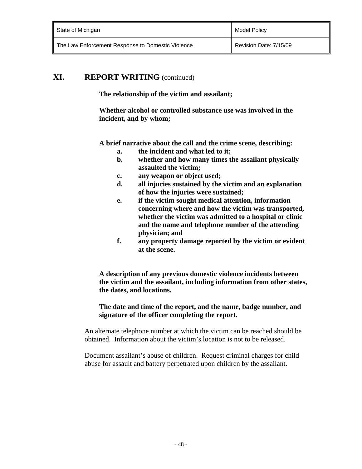| State of Michigan                                 | Model Policy           |
|---------------------------------------------------|------------------------|
| The Law Enforcement Response to Domestic Violence | Revision Date: 7/15/09 |

### **XI. REPORT WRITING** (continued)

 **The relationship of the victim and assailant;** 

 **Whether alcohol or controlled substance use was involved in the incident, and by whom;** 

 **A brief narrative about the call and the crime scene, describing:** 

- **a. the incident and what led to it;**
- **b. whether and how many times the assailant physically assaulted the victim;**
- **c. any weapon or object used;**
- **d. all injuries sustained by the victim and an explanation of how the injuries were sustained;**
- **e. if the victim sought medical attention, information concerning where and how the victim was transported, whether the victim was admitted to a hospital or clinic and the name and telephone number of the attending physician; and**
- **f. any property damage reported by the victim or evident at the scene.**

 **A description of any previous domestic violence incidents between the victim and the assailant, including information from other states, the dates, and locations.** 

#### **The date and time of the report, and the name, badge number, and signature of the officer completing the report.**

An alternate telephone number at which the victim can be reached should be obtained. Information about the victim's location is not to be released.

Document assailant's abuse of children. Request criminal charges for child abuse for assault and battery perpetrated upon children by the assailant.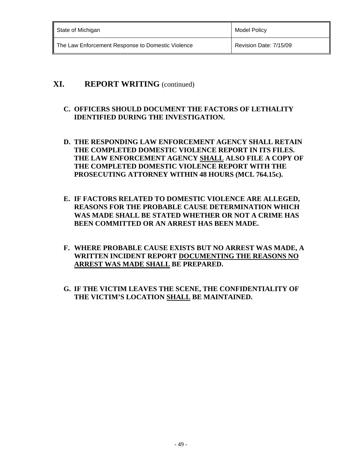| State of Michigan                                 | Model Policy           |
|---------------------------------------------------|------------------------|
| The Law Enforcement Response to Domestic Violence | Revision Date: 7/15/09 |

### **XI. REPORT WRITING** (continued)

### **C. OFFICERS SHOULD DOCUMENT THE FACTORS OF LETHALITY IDENTIFIED DURING THE INVESTIGATION.**

- **D. THE RESPONDING LAW ENFORCEMENT AGENCY SHALL RETAIN THE COMPLETED DOMESTIC VIOLENCE REPORT IN ITS FILES. THE LAW ENFORCEMENT AGENCY SHALL ALSO FILE A COPY OF THE COMPLETED DOMESTIC VIOLENCE REPORT WITH THE PROSECUTING ATTORNEY WITHIN 48 HOURS (MCL 764.15c).**
- **E. IF FACTORS RELATED TO DOMESTIC VIOLENCE ARE ALLEGED, REASONS FOR THE PROBABLE CAUSE DETERMINATION WHICH WAS MADE SHALL BE STATED WHETHER OR NOT A CRIME HAS BEEN COMMITTED OR AN ARREST HAS BEEN MADE.**
- **F. WHERE PROBABLE CAUSE EXISTS BUT NO ARREST WAS MADE, A WRITTEN INCIDENT REPORT DOCUMENTING THE REASONS NO ARREST WAS MADE SHALL BE PREPARED.**
- **G. IF THE VICTIM LEAVES THE SCENE, THE CONFIDENTIALITY OF THE VICTIM'S LOCATION SHALL BE MAINTAINED.**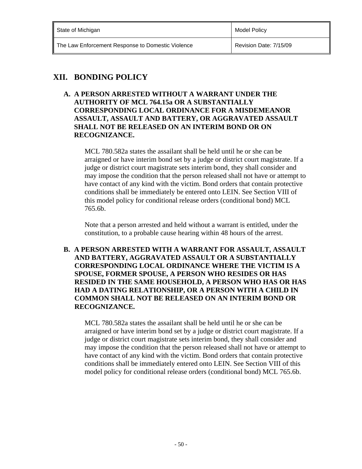| State of Michigan                                 | Model Policy           |
|---------------------------------------------------|------------------------|
| The Law Enforcement Response to Domestic Violence | Revision Date: 7/15/09 |

# **XII. BONDING POLICY**

**A. A PERSON ARRESTED WITHOUT A WARRANT UNDER THE AUTHORITY OF MCL 764.15a OR A SUBSTANTIALLY CORRESPONDING LOCAL ORDINANCE FOR A MISDEMEANOR ASSAULT, ASSAULT AND BATTERY, OR AGGRAVATED ASSAULT SHALL NOT BE RELEASED ON AN INTERIM BOND OR ON RECOGNIZANCE.** 

MCL 780.582a states the assailant shall be held until he or she can be arraigned or have interim bond set by a judge or district court magistrate. If a judge or district court magistrate sets interim bond, they shall consider and may impose the condition that the person released shall not have or attempt to have contact of any kind with the victim. Bond orders that contain protective conditions shall be immediately be entered onto LEIN. See Section VIII of this model policy for conditional release orders (conditional bond) MCL 765.6b.

Note that a person arrested and held without a warrant is entitled, under the constitution, to a probable cause hearing within 48 hours of the arrest.

**B. A PERSON ARRESTED WITH A WARRANT FOR ASSAULT, ASSAULT AND BATTERY, AGGRAVATED ASSAULT OR A SUBSTANTIALLY CORRESPONDING LOCAL ORDINANCE WHERE THE VICTIM IS A SPOUSE, FORMER SPOUSE, A PERSON WHO RESIDES OR HAS RESIDED IN THE SAME HOUSEHOLD, A PERSON WHO HAS OR HAS HAD A DATING RELATIONSHIP, OR A PERSON WITH A CHILD IN COMMON SHALL NOT BE RELEASED ON AN INTERIM BOND OR RECOGNIZANCE.** 

MCL 780.582a states the assailant shall be held until he or she can be arraigned or have interim bond set by a judge or district court magistrate. If a judge or district court magistrate sets interim bond, they shall consider and may impose the condition that the person released shall not have or attempt to have contact of any kind with the victim. Bond orders that contain protective conditions shall be immediately entered onto LEIN. See Section VIII of this model policy for conditional release orders (conditional bond) MCL 765.6b.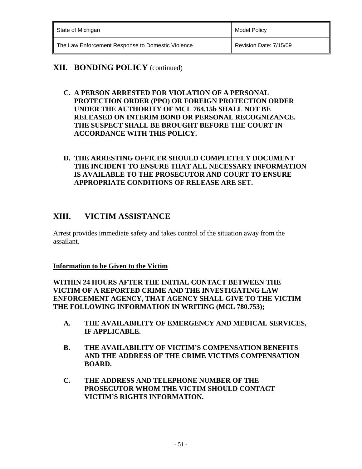| State of Michigan                                 | Model Policy           |
|---------------------------------------------------|------------------------|
| The Law Enforcement Response to Domestic Violence | Revision Date: 7/15/09 |

### **XII. BONDING POLICY** (continued)

- **C. A PERSON ARRESTED FOR VIOLATION OF A PERSONAL PROTECTION ORDER (PPO) OR FOREIGN PROTECTION ORDER UNDER THE AUTHORITY OF MCL 764.15b SHALL NOT BE RELEASED ON INTERIM BOND OR PERSONAL RECOGNIZANCE. THE SUSPECT SHALL BE BROUGHT BEFORE THE COURT IN ACCORDANCE WITH THIS POLICY.**
- **D. THE ARRESTING OFFICER SHOULD COMPLETELY DOCUMENT THE INCIDENT TO ENSURE THAT ALL NECESSARY INFORMATION IS AVAILABLE TO THE PROSECUTOR AND COURT TO ENSURE APPROPRIATE CONDITIONS OF RELEASE ARE SET.**

## **XIII. VICTIM ASSISTANCE**

Arrest provides immediate safety and takes control of the situation away from the assailant.

### **Information to be Given to the Victim**

**WITHIN 24 HOURS AFTER THE INITIAL CONTACT BETWEEN THE VICTIM OF A REPORTED CRIME AND THE INVESTIGATING LAW ENFORCEMENT AGENCY, THAT AGENCY SHALL GIVE TO THE VICTIM THE FOLLOWING INFORMATION IN WRITING (MCL 780.753);** 

- **A. THE AVAILABILITY OF EMERGENCY AND MEDICAL SERVICES, IF APPLICABLE.**
- **B. THE AVAILABILITY OF VICTIM'S COMPENSATION BENEFITS AND THE ADDRESS OF THE CRIME VICTIMS COMPENSATION BOARD.**
- **C. THE ADDRESS AND TELEPHONE NUMBER OF THE PROSECUTOR WHOM THE VICTIM SHOULD CONTACT VICTIM'S RIGHTS INFORMATION.**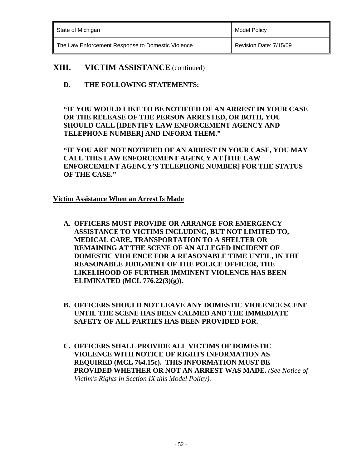| State of Michigan                                 | Model Policy           |
|---------------------------------------------------|------------------------|
| The Law Enforcement Response to Domestic Violence | Revision Date: 7/15/09 |

**D. THE FOLLOWING STATEMENTS:** 

**"IF YOU WOULD LIKE TO BE NOTIFIED OF AN ARREST IN YOUR CASE OR THE RELEASE OF THE PERSON ARRESTED, OR BOTH, YOU SHOULD CALL [IDENTIFY LAW ENFORCEMENT AGENCY AND TELEPHONE NUMBER] AND INFORM THEM."** 

**"IF YOU ARE NOT NOTIFIED OF AN ARREST IN YOUR CASE, YOU MAY CALL THIS LAW ENFORCEMENT AGENCY AT [THE LAW ENFORCEMENT AGENCY'S TELEPHONE NUMBER] FOR THE STATUS OF THE CASE."** 

**Victim Assistance When an Arrest Is Made** 

- **A. OFFICERS MUST PROVIDE OR ARRANGE FOR EMERGENCY ASSISTANCE TO VICTIMS INCLUDING, BUT NOT LIMITED TO, MEDICAL CARE, TRANSPORTATION TO A SHELTER OR REMAINING AT THE SCENE OF AN ALLEGED INCIDENT OF DOMESTIC VIOLENCE FOR A REASONABLE TIME UNTIL, IN THE REASONABLE JUDGMENT OF THE POLICE OFFICER, THE LIKELIHOOD OF FURTHER IMMINENT VIOLENCE HAS BEEN ELIMINATED (MCL 776.22(3)(g)).**
- **B. OFFICERS SHOULD NOT LEAVE ANY DOMESTIC VIOLENCE SCENE UNTIL THE SCENE HAS BEEN CALMED AND THE IMMEDIATE SAFETY OF ALL PARTIES HAS BEEN PROVIDED FOR.**
- **C. OFFICERS SHALL PROVIDE ALL VICTIMS OF DOMESTIC VIOLENCE WITH NOTICE OF RIGHTS INFORMATION AS REQUIRED (MCL 764.15c). THIS INFORMATION MUST BE PROVIDED WHETHER OR NOT AN ARREST WAS MADE.** *(See Notice of Victim's Rights in Section IX this Model Policy).*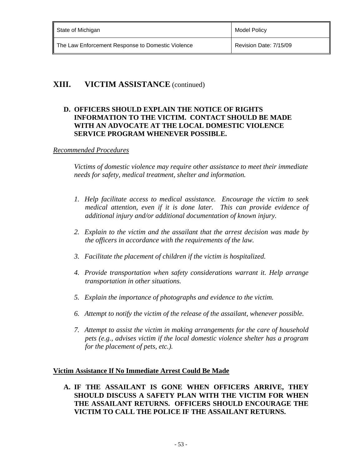| State of Michigan                                 | <b>Model Policy</b>    |
|---------------------------------------------------|------------------------|
| The Law Enforcement Response to Domestic Violence | Revision Date: 7/15/09 |

### **D. OFFICERS SHOULD EXPLAIN THE NOTICE OF RIGHTS INFORMATION TO THE VICTIM. CONTACT SHOULD BE MADE WITH AN ADVOCATE AT THE LOCAL DOMESTIC VIOLENCE SERVICE PROGRAM WHENEVER POSSIBLE.**

#### *Recommended Procedures*

*Victims of domestic violence may require other assistance to meet their immediate needs for safety, medical treatment, shelter and information.* 

- *1. Help facilitate access to medical assistance. Encourage the victim to seek medical attention, even if it is done later. This can provide evidence of additional injury and/or additional documentation of known injury.*
- *2. Explain to the victim and the assailant that the arrest decision was made by the officers in accordance with the requirements of the law.*
- *3. Facilitate the placement of children if the victim is hospitalized.*
- *4. Provide transportation when safety considerations warrant it. Help arrange transportation in other situations.*
- *5. Explain the importance of photographs and evidence to the victim.*
- *6. Attempt to notify the victim of the release of the assailant, whenever possible.*
- *7. Attempt to assist the victim in making arrangements for the care of household pets (e.g., advises victim if the local domestic violence shelter has a program for the placement of pets, etc.).*

### **Victim Assistance If No Immediate Arrest Could Be Made**

**A. IF THE ASSAILANT IS GONE WHEN OFFICERS ARRIVE, THEY SHOULD DISCUSS A SAFETY PLAN WITH THE VICTIM FOR WHEN THE ASSAILANT RETURNS. OFFICERS SHOULD ENCOURAGE THE VICTIM TO CALL THE POLICE IF THE ASSAILANT RETURNS.**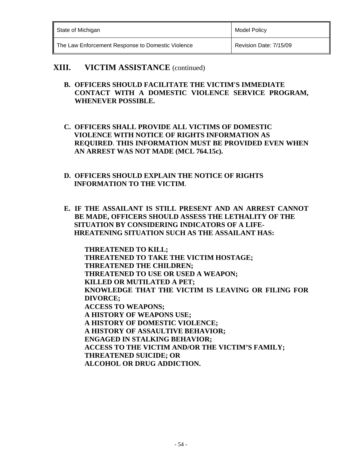| State of Michigan                                 | Model Policy           |
|---------------------------------------------------|------------------------|
| The Law Enforcement Response to Domestic Violence | Revision Date: 7/15/09 |

- **B. OFFICERS SHOULD FACILITATE THE VICTIM'S IMMEDIATE CONTACT WITH A DOMESTIC VIOLENCE SERVICE PROGRAM, WHENEVER POSSIBLE.**
- **C. OFFICERS SHALL PROVIDE ALL VICTIMS OF DOMESTIC VIOLENCE WITH NOTICE OF RIGHTS INFORMATION AS REQUIRED**. **THIS INFORMATION MUST BE PROVIDED EVEN WHEN AN ARREST WAS NOT MADE (MCL 764.15c).**
- **D. OFFICERS SHOULD EXPLAIN THE NOTICE OF RIGHTS INFORMATION TO THE VICTIM**.
- **E. IF THE ASSAILANT IS STILL PRESENT AND AN ARREST CANNOT BE MADE, OFFICERS SHOULD ASSESS THE LETHALITY OF THE SITUATION BY CONSIDERING INDICATORS OF A LIFE- HREATENING SITUATION SUCH AS THE ASSAILANT HAS:**

 **THREATENED TO KILL; THREATENED TO TAKE THE VICTIM HOSTAGE; THREATENED THE CHILDREN; THREATENED TO USE OR USED A WEAPON; KILLED OR MUTILATED A PET; KNOWLEDGE THAT THE VICTIM IS LEAVING OR FILING FOR DIVORCE; ACCESS TO WEAPONS; A HISTORY OF WEAPONS USE; A HISTORY OF DOMESTIC VIOLENCE; A HISTORY OF ASSAULTIVE BEHAVIOR; ENGAGED IN STALKING BEHAVIOR; ACCESS TO THE VICTIM AND/OR THE VICTIM'S FAMILY; THREATENED SUICIDE; OR ALCOHOL OR DRUG ADDICTION.**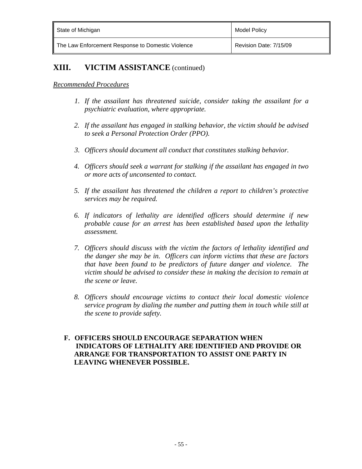| State of Michigan                                 | <b>Model Policy</b>    |
|---------------------------------------------------|------------------------|
| The Law Enforcement Response to Domestic Violence | Revision Date: 7/15/09 |

#### *Recommended Procedures*

- *1. If the assailant has threatened suicide, consider taking the assailant for a psychiatric evaluation, where appropriate.*
- *2. If the assailant has engaged in stalking behavior, the victim should be advised to seek a Personal Protection Order (PPO).*
- *3. Officers should document all conduct that constitutes stalking behavior.*
- *4. Officers should seek a warrant for stalking if the assailant has engaged in two or more acts of unconsented to contact.*
- *5. If the assailant has threatened the children a report to children's protective services may be required.*
- *6. If indicators of lethality are identified officers should determine if new probable cause for an arrest has been established based upon the lethality assessment.*
- *7. Officers should discuss with the victim the factors of lethality identified and the danger she may be in. Officers can inform victims that these are factors that have been found to be predictors of future danger and violence. The victim should be advised to consider these in making the decision to remain at the scene or leave.*
- *8. Officers should encourage victims to contact their local domestic violence service program by dialing the number and putting them in touch while still at the scene to provide safety.*

#### **F. OFFICERS SHOULD ENCOURAGE SEPARATION WHEN INDICATORS OF LETHALITY ARE IDENTIFIED AND PROVIDE OR ARRANGE FOR TRANSPORTATION TO ASSIST ONE PARTY IN LEAVING WHENEVER POSSIBLE.**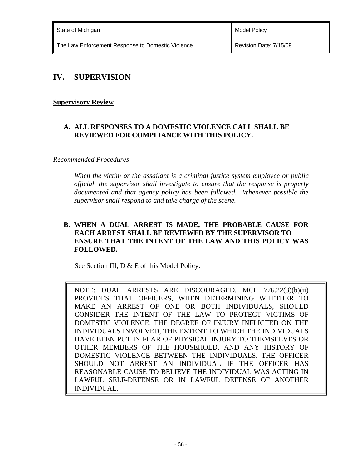| State of Michigan                                 | Model Policy           |
|---------------------------------------------------|------------------------|
| The Law Enforcement Response to Domestic Violence | Revision Date: 7/15/09 |

### **IV. SUPERVISION**

### **Supervisory Review**

### **A. ALL RESPONSES TO A DOMESTIC VIOLENCE CALL SHALL BE REVIEWED FOR COMPLIANCE WITH THIS POLICY.**

### *Recommended Procedures*

*When the victim or the assailant is a criminal justice system employee or public official, the supervisor shall investigate to ensure that the response is properly documented and that agency policy has been followed. Whenever possible the supervisor shall respond to and take charge of the scene.* 

### **B. WHEN A DUAL ARREST IS MADE, THE PROBABLE CAUSE FOR EACH ARREST SHALL BE REVIEWED BY THE SUPERVISOR TO ENSURE THAT THE INTENT OF THE LAW AND THIS POLICY WAS FOLLOWED.**

See Section III, D & E of this Model Policy.

NOTE: DUAL ARRESTS ARE DISCOURAGED. MCL 776.22(3)(b)(ii) PROVIDES THAT OFFICERS, WHEN DETERMINING WHETHER TO MAKE AN ARREST OF ONE OR BOTH INDIVIDUALS, SHOULD CONSIDER THE INTENT OF THE LAW TO PROTECT VICTIMS OF DOMESTIC VIOLENCE, THE DEGREE OF INJURY INFLICTED ON THE INDIVIDUALS INVOLVED, THE EXTENT TO WHICH THE INDIVIDUALS HAVE BEEN PUT IN FEAR OF PHYSICAL INJURY TO THEMSELVES OR OTHER MEMBERS OF THE HOUSEHOLD, AND ANY HISTORY OF DOMESTIC VIOLENCE BETWEEN THE INDIVIDUALS. THE OFFICER SHOULD NOT ARREST AN INDIVIDUAL IF THE OFFICER HAS REASONABLE CAUSE TO BELIEVE THE INDIVIDUAL WAS ACTING IN LAWFUL SELF-DEFENSE OR IN LAWFUL DEFENSE OF ANOTHER INDIVIDUAL.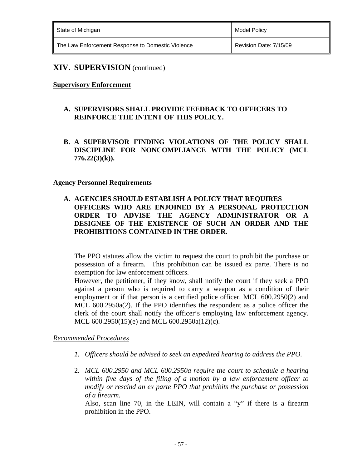| State of Michigan                                 | Model Policy           |
|---------------------------------------------------|------------------------|
| The Law Enforcement Response to Domestic Violence | Revision Date: 7/15/09 |

#### **Supervisory Enforcement**

### **A. SUPERVISORS SHALL PROVIDE FEEDBACK TO OFFICERS TO REINFORCE THE INTENT OF THIS POLICY.**

**B. A SUPERVISOR FINDING VIOLATIONS OF THE POLICY SHALL DISCIPLINE FOR NONCOMPLIANCE WITH THE POLICY (MCL 776.22(3)(k)).**

#### **Agency Personnel Requirements**

**A. AGENCIES SHOULD ESTABLISH A POLICY THAT REQUIRES OFFICERS WHO ARE ENJOINED BY A PERSONAL PROTECTION ORDER TO ADVISE THE AGENCY ADMINISTRATOR OR A DESIGNEE OF THE EXISTENCE OF SUCH AN ORDER AND THE PROHIBITIONS CONTAINED IN THE ORDER.**

The PPO statutes allow the victim to request the court to prohibit the purchase or possession of a firearm. This prohibition can be issued ex parte. There is no exemption for law enforcement officers.

However, the petitioner, if they know, shall notify the court if they seek a PPO against a person who is required to carry a weapon as a condition of their employment or if that person is a certified police officer. MCL 600.2950(2) and MCL 600.2950a(2). If the PPO identifies the respondent as a police officer the clerk of the court shall notify the officer's employing law enforcement agency. MCL 600.2950(15)(e) and MCL 600.2950a(12)(c).

#### *Recommended Procedures*

- *1. Officers should be advised to seek an expedited hearing to address the PPO.*
- 2. *MCL 600.2950 and MCL 600.2950a require the court to schedule a hearing within five days of the filing of a motion by a law enforcement officer to modify or rescind an ex parte PPO that prohibits the purchase or possession of a firearm.*

 Also, scan line 70, in the LEIN, will contain a "y" if there is a firearm prohibition in the PPO.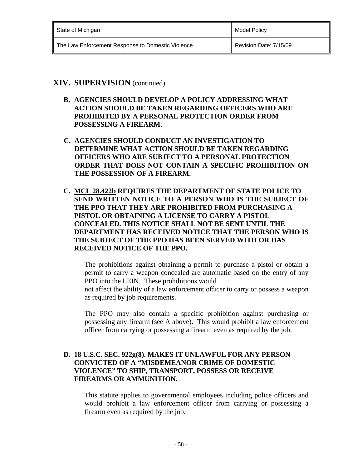| State of Michigan                                 | <b>Model Policy</b>    |
|---------------------------------------------------|------------------------|
| The Law Enforcement Response to Domestic Violence | Revision Date: 7/15/09 |

- **B. AGENCIES SHOULD DEVELOP A POLICY ADDRESSING WHAT ACTION SHOULD BE TAKEN REGARDING OFFICERS WHO ARE PROHIBITED BY A PERSONAL PROTECTION ORDER FROM POSSESSING A FIREARM.**
- **C. AGENCIES SHOULD CONDUCT AN INVESTIGATION TO DETERMINE WHAT ACTION SHOULD BE TAKEN REGARDING OFFICERS WHO ARE SUBJECT TO A PERSONAL PROTECTION ORDER THAT DOES NOT CONTAIN A SPECIFIC PROHIBITION ON THE POSSESSION OF A FIREARM.**
- **C. MCL 28.422b REQUIRES THE DEPARTMENT OF STATE POLICE TO SEND WRITTEN NOTICE TO A PERSON WHO IS THE SUBJECT OF THE PPO THAT THEY ARE PROHIBITED FROM PURCHASING A PISTOL OR OBTAINING A LICENSE TO CARRY A PISTOL CONCEALED. THIS NOTICE SHALL NOT BE SENT UNTIL THE DEPARTMENT HAS RECEIVED NOTICE THAT THE PERSON WHO IS THE SUBJECT OF THE PPO HAS BEEN SERVED WITH OR HAS RECEIVED NOTICE OF THE PPO.**

The prohibitions against obtaining a permit to purchase a pistol or obtain a permit to carry a weapon concealed are automatic based on the entry of any PPO into the LEIN. These prohibitions would

not affect the ability of a law enforcement officer to carry or possess a weapon as required by job requirements.

The PPO may also contain a specific prohibition against purchasing or possessing any firearm (see A above). This would prohibit a law enforcement officer from carrying or possessing a firearm even as required by the job.

#### **D. 18 U.S.C. SEC. 922g(8). MAKES IT UNLAWFUL FOR ANY PERSON CONVICTED OF A "MISDEMEANOR CRIME OF DOMESTIC VIOLENCE" TO SHIP, TRANSPORT, POSSESS OR RECEIVE FIREARMS OR AMMUNITION.**

This statute applies to governmental employees including police officers and would prohibit a law enforcement officer from carrying or possessing a firearm even as required by the job.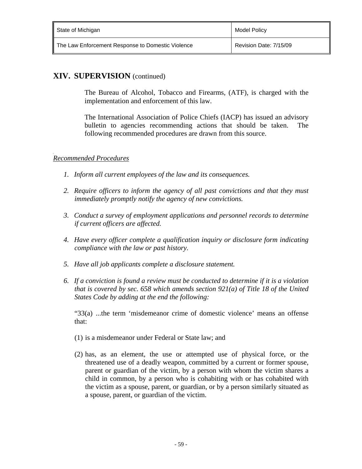| State of Michigan                                 | <b>Model Policy</b>    |
|---------------------------------------------------|------------------------|
| The Law Enforcement Response to Domestic Violence | Revision Date: 7/15/09 |

The Bureau of Alcohol, Tobacco and Firearms, (ATF), is charged with the implementation and enforcement of this law.

The International Association of Police Chiefs (IACP) has issued an advisory bulletin to agencies recommending actions that should be taken. The following recommended procedures are drawn from this source.

#### *Recommended Procedures*

- *1. Inform all current employees of the law and its consequences.*
- *2. Require officers to inform the agency of all past convictions and that they must immediately promptly notify the agency of new convictions.*
- *3. Conduct a survey of employment applications and personnel records to determine if current officers are affected.*
- *4. Have every officer complete a qualification inquiry or disclosure form indicating compliance with the law or past history.*
- *5. Have all job applicants complete a disclosure statement.*
- *6. If a conviction is found a review must be conducted to determine if it is a violation that is covered by sec. 658 which amends section 921(a) of Title 18 of the United States Code by adding at the end the following:*

 "33(a) ...the term 'misdemeanor crime of domestic violence' means an offense that:

- (1) is a misdemeanor under Federal or State law; and
- (2) has, as an element, the use or attempted use of physical force, or the threatened use of a deadly weapon, committed by a current or former spouse, parent or guardian of the victim, by a person with whom the victim shares a child in common, by a person who is cohabiting with or has cohabited with the victim as a spouse, parent, or guardian, or by a person similarly situated as a spouse, parent, or guardian of the victim.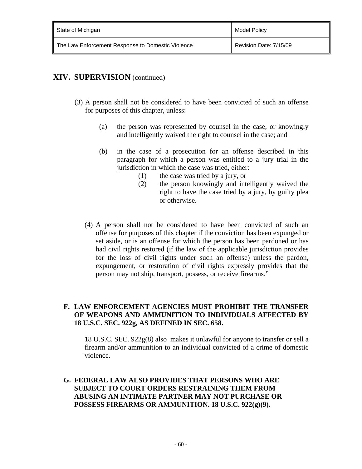| State of Michigan                                 | Model Policy           |
|---------------------------------------------------|------------------------|
| The Law Enforcement Response to Domestic Violence | Revision Date: 7/15/09 |

- (3) A person shall not be considered to have been convicted of such an offense for purposes of this chapter, unless:
	- (a) the person was represented by counsel in the case, or knowingly and intelligently waived the right to counsel in the case; and
	- (b) in the case of a prosecution for an offense described in this paragraph for which a person was entitled to a jury trial in the jurisdiction in which the case was tried, either:
		- (1) the case was tried by a jury, or
		- (2) the person knowingly and intelligently waived the right to have the case tried by a jury, by guilty plea or otherwise.
	- (4) A person shall not be considered to have been convicted of such an offense for purposes of this chapter if the conviction has been expunged or set aside, or is an offense for which the person has been pardoned or has had civil rights restored (if the law of the applicable jurisdiction provides for the loss of civil rights under such an offense) unless the pardon, expungement, or restoration of civil rights expressly provides that the person may not ship, transport, possess, or receive firearms."

### **F. LAW ENFORCEMENT AGENCIES MUST PROHIBIT THE TRANSFER OF WEAPONS AND AMMUNITION TO INDIVIDUALS AFFECTED BY 18 U.S.C. SEC. 922g, AS DEFINED IN SEC. 658.**

 18 U.S.C. SEC. 922g(8) also makes it unlawful for anyone to transfer or sell a firearm and/or ammunition to an individual convicted of a crime of domestic violence.

**G. FEDERAL LAW ALSO PROVIDES THAT PERSONS WHO ARE SUBJECT TO COURT ORDERS RESTRAINING THEM FROM ABUSING AN INTIMATE PARTNER MAY NOT PURCHASE OR POSSESS FIREARMS OR AMMUNITION. 18 U.S.C. 922(g)(9).**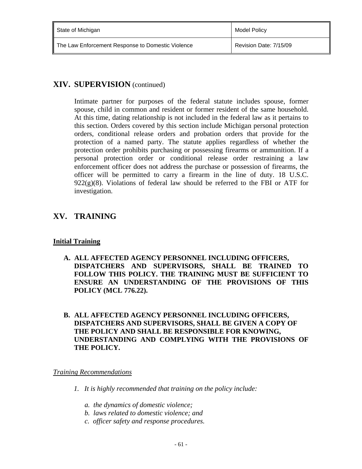| State of Michigan                                 | Model Policy           |
|---------------------------------------------------|------------------------|
| The Law Enforcement Response to Domestic Violence | Revision Date: 7/15/09 |

Intimate partner for purposes of the federal statute includes spouse, former spouse, child in common and resident or former resident of the same household. At this time, dating relationship is not included in the federal law as it pertains to this section. Orders covered by this section include Michigan personal protection orders, conditional release orders and probation orders that provide for the protection of a named party. The statute applies regardless of whether the protection order prohibits purchasing or possessing firearms or ammunition. If a personal protection order or conditional release order restraining a law enforcement officer does not address the purchase or possession of firearms, the officer will be permitted to carry a firearm in the line of duty. 18 U.S.C.  $922(g)(8)$ . Violations of federal law should be referred to the FBI or ATF for investigation.

# **XV. TRAINING**

### **Initial Training**

- **A. ALL AFFECTED AGENCY PERSONNEL INCLUDING OFFICERS, DISPATCHERS AND SUPERVISORS, SHALL BE TRAINED TO FOLLOW THIS POLICY. THE TRAINING MUST BE SUFFICIENT TO ENSURE AN UNDERSTANDING OF THE PROVISIONS OF THIS POLICY (MCL 776.22).**
- **B. ALL AFFECTED AGENCY PERSONNEL INCLUDING OFFICERS, DISPATCHERS AND SUPERVISORS, SHALL BE GIVEN A COPY OF THE POLICY AND SHALL BE RESPONSIBLE FOR KNOWING, UNDERSTANDING AND COMPLYING WITH THE PROVISIONS OF THE POLICY.**

*Training Recommendations* 

- *1. It is highly recommended that training on the policy include:* 
	- *a. the dynamics of domestic violence;*
	- *b. laws related to domestic violence; and*
	- *c. officer safety and response procedures.*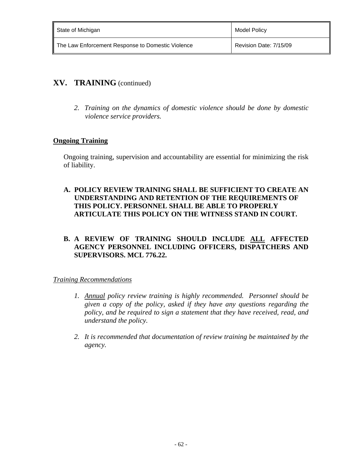| State of Michigan                                 | <b>Model Policy</b>    |
|---------------------------------------------------|------------------------|
| The Law Enforcement Response to Domestic Violence | Revision Date: 7/15/09 |

### **XV. TRAINING** (continued)

 *2. Training on the dynamics of domestic violence should be done by domestic violence service providers.*

### **Ongoing Training**

Ongoing training, supervision and accountability are essential for minimizing the risk of liability.

**A. POLICY REVIEW TRAINING SHALL BE SUFFICIENT TO CREATE AN UNDERSTANDING AND RETENTION OF THE REQUIREMENTS OF THIS POLICY. PERSONNEL SHALL BE ABLE TO PROPERLY ARTICULATE THIS POLICY ON THE WITNESS STAND IN COURT.**

### **B. A REVIEW OF TRAINING SHOULD INCLUDE ALL AFFECTED AGENCY PERSONNEL INCLUDING OFFICERS, DISPATCHERS AND SUPERVISORS. MCL 776.22.**

### *Training Recommendations*

- *1. Annual policy review training is highly recommended. Personnel should be given a copy of the policy, asked if they have any questions regarding the policy, and be required to sign a statement that they have received, read, and understand the policy.*
- *2. It is recommended that documentation of review training be maintained by the agency.*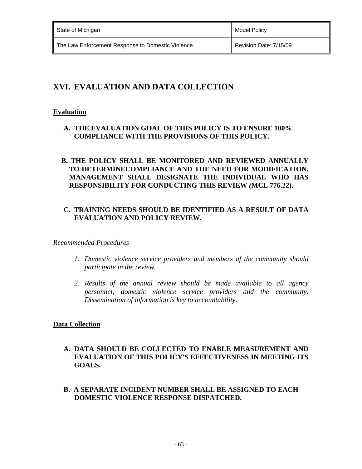| State of Michigan                                 | <b>Model Policy</b>    |
|---------------------------------------------------|------------------------|
| The Law Enforcement Response to Domestic Violence | Revision Date: 7/15/09 |

# **XVI. EVALUATION AND DATA COLLECTION**

### **Evaluation**

**A. THE EVALUATION GOAL OF THIS POLICY IS TO ENSURE 100% COMPLIANCE WITH THE PROVISIONS OF THIS POLICY.** 

### **B. THE POLICY SHALL BE MONITORED AND REVIEWED ANNUALLY TO DETERMINECOMPLIANCE AND THE NEED FOR MODIFICATION. MANAGEMENT SHALL DESIGNATE THE INDIVIDUAL WHO HAS RESPONSIBILITY FOR CONDUCTING THIS REVIEW** *(***MCL 776.22).**

### **C. TRAINING NEEDS SHOULD BE IDENTIFIED AS A RESULT OF DATA EVALUATION AND POLICY REVIEW.**

### *Recommended Procedures*

- *1. Domestic violence service providers and members of the community should participate in the review.*
- *2. Results of the annual review should be made available to all agency personnel, domestic violence service providers and the community. Dissemination of information is key to accountability.*

### **Data Collection**

- **A. DATA SHOULD BE COLLECTED TO ENABLE MEASUREMENT AND EVALUATION OF THIS POLICY'S EFFECTIVENESS IN MEETING ITS GOALS.**
- **B. A SEPARATE INCIDENT NUMBER SHALL BE ASSIGNED TO EACH DOMESTIC VIOLENCE RESPONSE DISPATCHED.**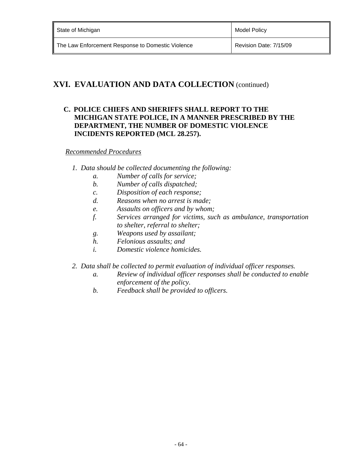# **XVI. EVALUATION AND DATA COLLECTION** (continued)

### **C. POLICE CHIEFS AND SHERIFFS SHALL REPORT TO THE MICHIGAN STATE POLICE, IN A MANNER PRESCRIBED BY THE DEPARTMENT, THE NUMBER OF DOMESTIC VIOLENCE INCIDENTS REPORTED (MCL 28.257).**

#### *Recommended Procedures*

- *1. Data should be collected documenting the following:* 
	- *a. Number of calls for service;*
	- *b. Number of calls dispatched;*
	- *c. Disposition of each response;*
	- *d. Reasons when no arrest is made;*
	- *e. Assaults on officers and by whom;*
	- *f. Services arranged for victims, such as ambulance, transportation to shelter, referral to shelter;*
	- *g. Weapons used by assailant;*
	- *h. Felonious assaults; and*
	- *i. Domestic violence homicides.*
- *2. Data shall be collected to permit evaluation of individual officer responses.* 
	- *a. Review of individual officer responses shall be conducted to enable enforcement of the policy.*
	- *b. Feedback shall be provided to officers.*